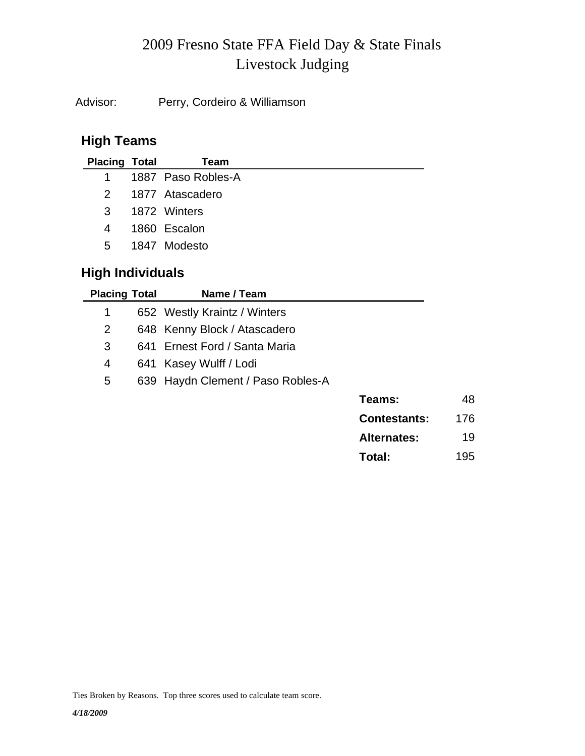# Livestock Judging 2009 Fresno State FFA Field Day & State Finals

Advisor: Perry, Cordeiro & Williamson

### **High Teams**

| <b>Placing Total</b>    | Team               |
|-------------------------|--------------------|
| $1 \quad$               | 1887 Paso Robles-A |
| 2                       | 1877 Atascadero    |
| $\overline{\mathbf{3}}$ | 1872 Winters       |
| 4                       | 1860 Escalon       |
| $5^{\circ}$             | 1847 Modesto       |
|                         |                    |

# **High Individuals**

| <b>Placing Total</b> | Name / Team                       |                     |     |
|----------------------|-----------------------------------|---------------------|-----|
| 1                    | 652 Westly Kraintz / Winters      |                     |     |
| $\overline{2}$       | 648 Kenny Block / Atascadero      |                     |     |
| 3                    | 641 Ernest Ford / Santa Maria     |                     |     |
| 4                    | 641 Kasey Wulff / Lodi            |                     |     |
| 5                    | 639 Haydn Clement / Paso Robles-A |                     |     |
|                      |                                   | Teams:              | 48  |
|                      |                                   | <b>Contestants:</b> | 176 |
|                      |                                   | <b>Alternates:</b>  | 19  |
|                      |                                   | Total:              | 195 |

Ties Broken by Reasons. Top three scores used to calculate team score.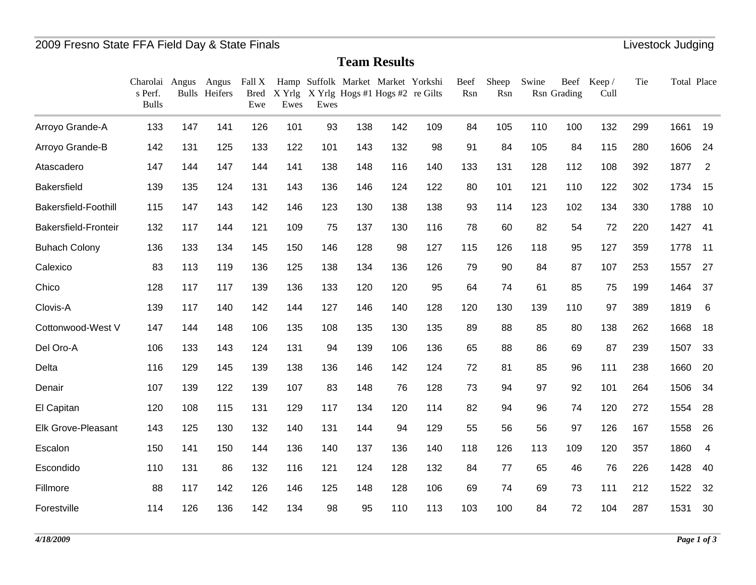**Team Results**

|                             | Charolai Angus<br>s Perf.<br><b>Bulls</b> |     | Angus<br><b>Bulls</b> Heifers | Fall X<br><b>Bred</b><br>Ewe | Ewes | Ewes |     | Hamp Suffolk Market Market Yorkshi<br>X Yrlg X Yrlg Hogs #1 Hogs #2 re Gilts |     | Beef<br>Rsn | Sheep<br>Rsn | Swine | Rsn Grading | Beef Keep/<br>Cull | Tie | Total Place |                |
|-----------------------------|-------------------------------------------|-----|-------------------------------|------------------------------|------|------|-----|------------------------------------------------------------------------------|-----|-------------|--------------|-------|-------------|--------------------|-----|-------------|----------------|
| Arroyo Grande-A             | 133                                       | 147 | 141                           | 126                          | 101  | 93   | 138 | 142                                                                          | 109 | 84          | 105          | 110   | 100         | 132                | 299 | 1661        | 19             |
| Arroyo Grande-B             | 142                                       | 131 | 125                           | 133                          | 122  | 101  | 143 | 132                                                                          | 98  | 91          | 84           | 105   | 84          | 115                | 280 | 1606        | 24             |
| Atascadero                  | 147                                       | 144 | 147                           | 144                          | 141  | 138  | 148 | 116                                                                          | 140 | 133         | 131          | 128   | 112         | 108                | 392 | 1877        | $\overline{2}$ |
| <b>Bakersfield</b>          | 139                                       | 135 | 124                           | 131                          | 143  | 136  | 146 | 124                                                                          | 122 | 80          | 101          | 121   | 110         | 122                | 302 | 1734        | 15             |
| <b>Bakersfield-Foothill</b> | 115                                       | 147 | 143                           | 142                          | 146  | 123  | 130 | 138                                                                          | 138 | 93          | 114          | 123   | 102         | 134                | 330 | 1788        | 10             |
| Bakersfield-Fronteir        | 132                                       | 117 | 144                           | 121                          | 109  | 75   | 137 | 130                                                                          | 116 | 78          | 60           | 82    | 54          | 72                 | 220 | 1427        | -41            |
| <b>Buhach Colony</b>        | 136                                       | 133 | 134                           | 145                          | 150  | 146  | 128 | 98                                                                           | 127 | 115         | 126          | 118   | 95          | 127                | 359 | 1778        | 11             |
| Calexico                    | 83                                        | 113 | 119                           | 136                          | 125  | 138  | 134 | 136                                                                          | 126 | 79          | 90           | 84    | 87          | 107                | 253 | 1557        | 27             |
| Chico                       | 128                                       | 117 | 117                           | 139                          | 136  | 133  | 120 | 120                                                                          | 95  | 64          | 74           | 61    | 85          | 75                 | 199 | 1464        | 37             |
| Clovis-A                    | 139                                       | 117 | 140                           | 142                          | 144  | 127  | 146 | 140                                                                          | 128 | 120         | 130          | 139   | 110         | 97                 | 389 | 1819        | 6              |
| Cottonwood-West V           | 147                                       | 144 | 148                           | 106                          | 135  | 108  | 135 | 130                                                                          | 135 | 89          | 88           | 85    | 80          | 138                | 262 | 1668        | 18             |
| Del Oro-A                   | 106                                       | 133 | 143                           | 124                          | 131  | 94   | 139 | 106                                                                          | 136 | 65          | 88           | 86    | 69          | 87                 | 239 | 1507        | 33             |
| Delta                       | 116                                       | 129 | 145                           | 139                          | 138  | 136  | 146 | 142                                                                          | 124 | 72          | 81           | 85    | 96          | 111                | 238 | 1660        | 20             |
| Denair                      | 107                                       | 139 | 122                           | 139                          | 107  | 83   | 148 | 76                                                                           | 128 | 73          | 94           | 97    | 92          | 101                | 264 | 1506        | 34             |
| El Capitan                  | 120                                       | 108 | 115                           | 131                          | 129  | 117  | 134 | 120                                                                          | 114 | 82          | 94           | 96    | 74          | 120                | 272 | 1554        | 28             |
| <b>Elk Grove-Pleasant</b>   | 143                                       | 125 | 130                           | 132                          | 140  | 131  | 144 | 94                                                                           | 129 | 55          | 56           | 56    | 97          | 126                | 167 | 1558        | 26             |
| Escalon                     | 150                                       | 141 | 150                           | 144                          | 136  | 140  | 137 | 136                                                                          | 140 | 118         | 126          | 113   | 109         | 120                | 357 | 1860        | $\overline{4}$ |
| Escondido                   | 110                                       | 131 | 86                            | 132                          | 116  | 121  | 124 | 128                                                                          | 132 | 84          | 77           | 65    | 46          | 76                 | 226 | 1428        | 40             |
| Fillmore                    | 88                                        | 117 | 142                           | 126                          | 146  | 125  | 148 | 128                                                                          | 106 | 69          | 74           | 69    | 73          | 111                | 212 | 1522        | 32             |
| Forestville                 | 114                                       | 126 | 136                           | 142                          | 134  | 98   | 95  | 110                                                                          | 113 | 103         | 100          | 84    | 72          | 104                | 287 | 1531        | 30             |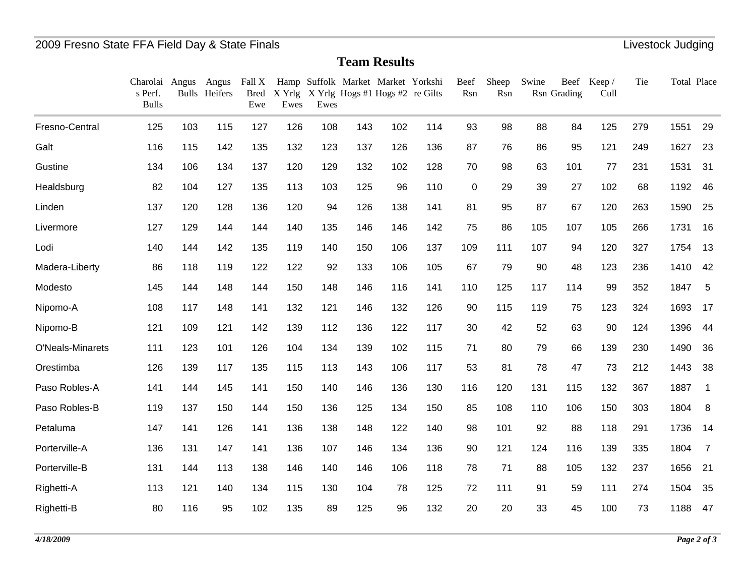**Team Results**

|                  | Charolai Angus<br>s Perf.<br><b>Bulls</b> |     | Angus<br><b>Bulls</b> Heifers | Fall X<br>Bred<br>Ewe | Ewes | Ewes |     | Hamp Suffolk Market Market Yorkshi<br>X Yrlg X Yrlg Hogs #1 Hogs #2 re Gilts |     | Beef<br>Rsn | Sheep<br>Rsn | Swine | Rsn Grading | Beef Keep/<br>Cull | Tie | Total Place |                |
|------------------|-------------------------------------------|-----|-------------------------------|-----------------------|------|------|-----|------------------------------------------------------------------------------|-----|-------------|--------------|-------|-------------|--------------------|-----|-------------|----------------|
| Fresno-Central   | 125                                       | 103 | 115                           | 127                   | 126  | 108  | 143 | 102                                                                          | 114 | 93          | 98           | 88    | 84          | 125                | 279 | 1551        | 29             |
| Galt             | 116                                       | 115 | 142                           | 135                   | 132  | 123  | 137 | 126                                                                          | 136 | 87          | 76           | 86    | 95          | 121                | 249 | 1627        | 23             |
| Gustine          | 134                                       | 106 | 134                           | 137                   | 120  | 129  | 132 | 102                                                                          | 128 | 70          | 98           | 63    | 101         | 77                 | 231 | 1531        | 31             |
| Healdsburg       | 82                                        | 104 | 127                           | 135                   | 113  | 103  | 125 | 96                                                                           | 110 | 0           | 29           | 39    | 27          | 102                | 68  | 1192        | 46             |
| Linden           | 137                                       | 120 | 128                           | 136                   | 120  | 94   | 126 | 138                                                                          | 141 | 81          | 95           | 87    | 67          | 120                | 263 | 1590        | 25             |
| Livermore        | 127                                       | 129 | 144                           | 144                   | 140  | 135  | 146 | 146                                                                          | 142 | 75          | 86           | 105   | 107         | 105                | 266 | 1731        | 16             |
| Lodi             | 140                                       | 144 | 142                           | 135                   | 119  | 140  | 150 | 106                                                                          | 137 | 109         | 111          | 107   | 94          | 120                | 327 | 1754        | 13             |
| Madera-Liberty   | 86                                        | 118 | 119                           | 122                   | 122  | 92   | 133 | 106                                                                          | 105 | 67          | 79           | 90    | 48          | 123                | 236 | 1410        | 42             |
| Modesto          | 145                                       | 144 | 148                           | 144                   | 150  | 148  | 146 | 116                                                                          | 141 | 110         | 125          | 117   | 114         | 99                 | 352 | 1847        | 5              |
| Nipomo-A         | 108                                       | 117 | 148                           | 141                   | 132  | 121  | 146 | 132                                                                          | 126 | 90          | 115          | 119   | 75          | 123                | 324 | 1693        | 17             |
| Nipomo-B         | 121                                       | 109 | 121                           | 142                   | 139  | 112  | 136 | 122                                                                          | 117 | 30          | 42           | 52    | 63          | 90                 | 124 | 1396        | 44             |
| O'Neals-Minarets | 111                                       | 123 | 101                           | 126                   | 104  | 134  | 139 | 102                                                                          | 115 | 71          | 80           | 79    | 66          | 139                | 230 | 1490        | 36             |
| Orestimba        | 126                                       | 139 | 117                           | 135                   | 115  | 113  | 143 | 106                                                                          | 117 | 53          | 81           | 78    | 47          | 73                 | 212 | 1443        | 38             |
| Paso Robles-A    | 141                                       | 144 | 145                           | 141                   | 150  | 140  | 146 | 136                                                                          | 130 | 116         | 120          | 131   | 115         | 132                | 367 | 1887        | $\overline{1}$ |
| Paso Robles-B    | 119                                       | 137 | 150                           | 144                   | 150  | 136  | 125 | 134                                                                          | 150 | 85          | 108          | 110   | 106         | 150                | 303 | 1804        | 8              |
| Petaluma         | 147                                       | 141 | 126                           | 141                   | 136  | 138  | 148 | 122                                                                          | 140 | 98          | 101          | 92    | 88          | 118                | 291 | 1736        | 14             |
| Porterville-A    | 136                                       | 131 | 147                           | 141                   | 136  | 107  | 146 | 134                                                                          | 136 | 90          | 121          | 124   | 116         | 139                | 335 | 1804        | $\overline{7}$ |
| Porterville-B    | 131                                       | 144 | 113                           | 138                   | 146  | 140  | 146 | 106                                                                          | 118 | 78          | 71           | 88    | 105         | 132                | 237 | 1656        | 21             |
| Righetti-A       | 113                                       | 121 | 140                           | 134                   | 115  | 130  | 104 | 78                                                                           | 125 | 72          | 111          | 91    | 59          | 111                | 274 | 1504        | 35             |
| Righetti-B       | 80                                        | 116 | 95                            | 102                   | 135  | 89   | 125 | 96                                                                           | 132 | 20          | 20           | 33    | 45          | 100                | 73  | 1188        | 47             |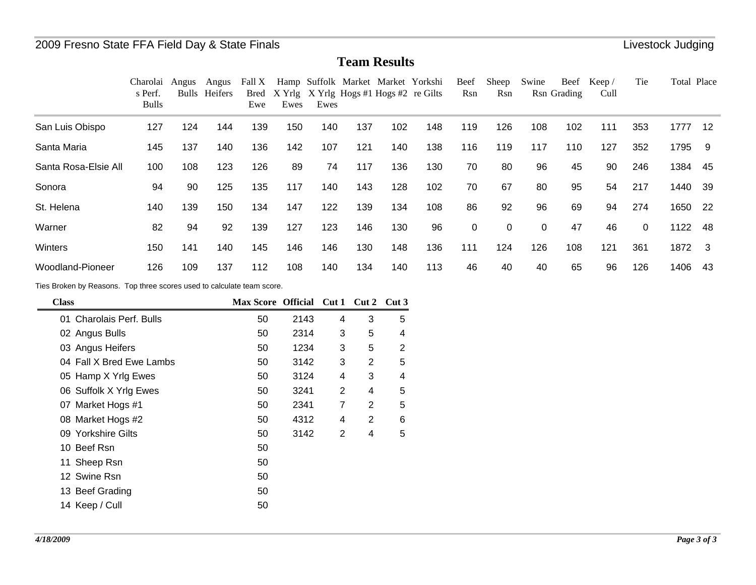**Team Results**

|                      | Charolai<br>s Perf.<br><b>Bulls</b> | Angus | Angus<br>Bulls Heifers | Fall X<br>Ewe | Ewes | Ewes |     | Hamp Suffolk Market Market Yorkshi<br>Bred X Yrlg X Yrlg Hogs #1 Hogs #2 re Gilts |     | Beef<br>Rsn | Sheep<br>Rsn | Swine    | Beef<br>Rsn Grading | Keep/<br>Cull | Tie      | Total Place |     |
|----------------------|-------------------------------------|-------|------------------------|---------------|------|------|-----|-----------------------------------------------------------------------------------|-----|-------------|--------------|----------|---------------------|---------------|----------|-------------|-----|
| San Luis Obispo      | 127                                 | 124   | 144                    | 139           | 150  | 140  | 137 | 102                                                                               | 148 | 119         | 126          | 108      | 102                 | 111           | 353      | 1777        | 12  |
| Santa Maria          | 145                                 | 137   | 140                    | 136           | 142  | 107  | 121 | 140                                                                               | 138 | 116         | 119          | 117      | 110                 | 127           | 352      | 1795        | -9  |
| Santa Rosa-Elsie All | 100                                 | 108   | 123                    | 126           | 89   | 74   | 117 | 136                                                                               | 130 | 70          | 80           | 96       | 45                  | 90            | 246      | 1384        | 45  |
| Sonora               | 94                                  | 90    | 125                    | 135           | 117  | 140  | 143 | 128                                                                               | 102 | 70          | 67           | 80       | 95                  | 54            | 217      | 1440        | -39 |
| St. Helena           | 140                                 | 139   | 150                    | 134           | 147  | 122  | 139 | 134                                                                               | 108 | 86          | 92           | 96       | 69                  | 94            | 274      | 1650        | -22 |
| Warner               | 82                                  | 94    | 92                     | 139           | 127  | 123  | 146 | 130                                                                               | 96  | 0           | 0            | $\Omega$ | 47                  | 46            | $\Omega$ | 1122        | 48  |
| Winters              | 150                                 | 141   | 140                    | 145           | 146  | 146  | 130 | 148                                                                               | 136 | 111         | 124          | 126      | 108                 | 121           | 361      | 1872        | - 3 |
| Woodland-Pioneer     | 126                                 | 109   | 137                    | 112           | 108  | 140  | 134 | 140                                                                               | 113 | 46          | 40           | 40       | 65                  | 96            | 126      | 1406        | 43  |

Ties Broken by Reasons. Top three scores used to calculate team score.

| <b>Class</b>             | Max Score Official Cut 1 Cut 2 Cut 3 |      |   |                |   |
|--------------------------|--------------------------------------|------|---|----------------|---|
| 01 Charolais Perf. Bulls | 50                                   | 2143 | 4 | 3              | 5 |
| 02 Angus Bulls           | 50                                   | 2314 | 3 | 5              | 4 |
| 03 Angus Heifers         | 50                                   | 1234 | 3 | 5              | 2 |
| 04 Fall X Bred Ewe Lambs | 50                                   | 3142 | 3 | 2              | 5 |
| 05 Hamp X Yrlg Ewes      | 50                                   | 3124 | 4 | 3              | 4 |
| 06 Suffolk X Yrlg Ewes   | 50                                   | 3241 | 2 | 4              | 5 |
| 07 Market Hogs #1        | 50                                   | 2341 | 7 | $\overline{2}$ | 5 |
| 08 Market Hogs #2        | 50                                   | 4312 | 4 | 2              | 6 |
| 09 Yorkshire Gilts       | 50                                   | 3142 | 2 | 4              | 5 |
| 10 Beef Rsn              | 50                                   |      |   |                |   |
| 11 Sheep Rsn             | 50                                   |      |   |                |   |
| 12 Swine Rsn             | 50                                   |      |   |                |   |
| 13 Beef Grading          | 50                                   |      |   |                |   |
| 14 Keep / Cull           | 50                                   |      |   |                |   |
|                          |                                      |      |   |                |   |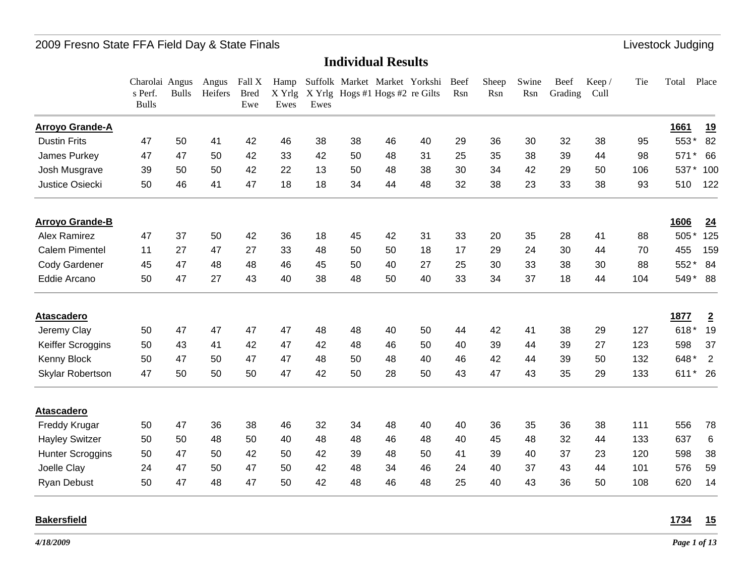#### **Individual Results**

| <b>Arroyo Grande-A</b><br>1661<br>553*<br>47<br>41<br>42<br>38<br>36<br>30<br>32<br>38<br><b>Dustin Frits</b><br>50<br>46<br>38<br>46<br>40<br>29<br>95<br>47<br>47<br>42<br>33<br>42<br>35<br>38<br>James Purkey<br>50<br>50<br>48<br>31<br>25<br>39<br>44<br>98<br>571<br>$\star$<br>39<br>50<br>50<br>42<br>22<br>30<br>34<br>42<br>29<br>50<br>106<br>537*<br>Josh Musgrave<br>13<br>50<br>48<br>38<br>Justice Osiecki<br>50<br>46<br>41<br>47<br>18<br>18<br>38<br>23<br>33<br>38<br>93<br>34<br>44<br>48<br>32<br>510<br><b>Arroyo Grande-B</b><br><b>1606</b><br><b>Alex Ramirez</b><br>47<br>37<br>505*<br>50<br>42<br>36<br>18<br>42<br>31<br>33<br>20<br>35<br>28<br>41<br>88<br>45<br><b>Calem Pimentel</b><br>11<br>27<br>47<br>24<br>30<br>44<br>455<br>27<br>33<br>48<br>50<br>50<br>18<br>17<br>29<br>70<br>38<br>Cody Gardener<br>45<br>47<br>48<br>48<br>25<br>30<br>33<br>30<br>88<br>552<br>46<br>45<br>50<br>40<br>27<br>50<br>47<br>27<br>43<br>38<br>33<br>34<br>37<br>18<br>44<br>104<br>549* 88<br>Eddie Arcano<br>40<br>48<br>50<br>40<br>1877<br><b>Atascadero</b><br>618*<br>47<br>47<br>47<br>47<br>Jeremy Clay<br>48<br>42<br>38<br>29<br>127<br>50<br>48<br>40<br>50<br>44<br>41<br>50<br>43<br>41<br>42<br>47<br>42<br>39<br>44<br>39<br>27<br>123<br>598<br>Keiffer Scroggins<br>48<br>46<br>50<br>40<br>50<br>47<br>50<br>47<br>47<br>46<br>42<br>39<br>50<br>132<br>648*<br>Kenny Block<br>48<br>50<br>48<br>40<br>44<br>35<br>47<br>50<br>47<br>47<br>43<br>133<br>611* 26<br>50<br>50<br>42<br>50<br>28<br>50<br>43<br>29<br>Skylar Robertson<br><b>Atascadero</b><br>47<br>36<br>38<br>32<br>34<br>36<br>35<br>36<br>38<br>111<br>556<br>Freddy Krugar<br>50<br>46<br>48<br>40<br>40<br>50<br>50<br>48<br>40<br>45<br>48<br>32<br>44<br>133<br>637<br><b>Hayley Switzer</b><br>50<br>40<br>48<br>48<br>46<br>48<br>47<br>37<br>23<br>50<br>50<br>42<br>50<br>42<br>39<br>50<br>41<br>39<br>40<br>120<br>598<br><b>Hunter Scroggins</b><br>48<br>24<br>47<br>50<br>47<br>42<br>37<br>43<br>44<br>101<br>576<br>Joelle Clay<br>50<br>48<br>34<br>46<br>24<br>40<br>50<br>47<br>48<br>47<br>42<br>43<br>36<br>108<br>620<br>50<br>48<br>46<br>48<br>25<br>40<br>50<br><b>Ryan Debust</b> | Charolai Angus<br>s Perf.<br><b>Bulls</b> | <b>Bulls</b> | Angus<br>Heifers | Fall X<br><b>Bred</b><br>Ewe | Hamp<br>X Yrlg<br>Ewes | Ewes | X Yrlg Hogs #1 Hogs #2 re Gilts | Suffolk Market Market Yorkshi | Beef<br>Rsn | Sheep<br>Rsn | Swine<br>Rsn | Beef<br>Grading | Keep/<br>Cull | Tie | Total | Place          |
|----------------------------------------------------------------------------------------------------------------------------------------------------------------------------------------------------------------------------------------------------------------------------------------------------------------------------------------------------------------------------------------------------------------------------------------------------------------------------------------------------------------------------------------------------------------------------------------------------------------------------------------------------------------------------------------------------------------------------------------------------------------------------------------------------------------------------------------------------------------------------------------------------------------------------------------------------------------------------------------------------------------------------------------------------------------------------------------------------------------------------------------------------------------------------------------------------------------------------------------------------------------------------------------------------------------------------------------------------------------------------------------------------------------------------------------------------------------------------------------------------------------------------------------------------------------------------------------------------------------------------------------------------------------------------------------------------------------------------------------------------------------------------------------------------------------------------------------------------------------------------------------------------------------------------------------------------------------------------------------------------------------------------------------------------------------------------------------------------------------------------------------------------------------------------------------------------------------------------|-------------------------------------------|--------------|------------------|------------------------------|------------------------|------|---------------------------------|-------------------------------|-------------|--------------|--------------|-----------------|---------------|-----|-------|----------------|
|                                                                                                                                                                                                                                                                                                                                                                                                                                                                                                                                                                                                                                                                                                                                                                                                                                                                                                                                                                                                                                                                                                                                                                                                                                                                                                                                                                                                                                                                                                                                                                                                                                                                                                                                                                                                                                                                                                                                                                                                                                                                                                                                                                                                                            |                                           |              |                  |                              |                        |      |                                 |                               |             |              |              |                 |               |     |       | <u>19</u>      |
|                                                                                                                                                                                                                                                                                                                                                                                                                                                                                                                                                                                                                                                                                                                                                                                                                                                                                                                                                                                                                                                                                                                                                                                                                                                                                                                                                                                                                                                                                                                                                                                                                                                                                                                                                                                                                                                                                                                                                                                                                                                                                                                                                                                                                            |                                           |              |                  |                              |                        |      |                                 |                               |             |              |              |                 |               |     |       | 82             |
|                                                                                                                                                                                                                                                                                                                                                                                                                                                                                                                                                                                                                                                                                                                                                                                                                                                                                                                                                                                                                                                                                                                                                                                                                                                                                                                                                                                                                                                                                                                                                                                                                                                                                                                                                                                                                                                                                                                                                                                                                                                                                                                                                                                                                            |                                           |              |                  |                              |                        |      |                                 |                               |             |              |              |                 |               |     |       | 66             |
|                                                                                                                                                                                                                                                                                                                                                                                                                                                                                                                                                                                                                                                                                                                                                                                                                                                                                                                                                                                                                                                                                                                                                                                                                                                                                                                                                                                                                                                                                                                                                                                                                                                                                                                                                                                                                                                                                                                                                                                                                                                                                                                                                                                                                            |                                           |              |                  |                              |                        |      |                                 |                               |             |              |              |                 |               |     |       | 100            |
|                                                                                                                                                                                                                                                                                                                                                                                                                                                                                                                                                                                                                                                                                                                                                                                                                                                                                                                                                                                                                                                                                                                                                                                                                                                                                                                                                                                                                                                                                                                                                                                                                                                                                                                                                                                                                                                                                                                                                                                                                                                                                                                                                                                                                            |                                           |              |                  |                              |                        |      |                                 |                               |             |              |              |                 |               |     |       | 122            |
|                                                                                                                                                                                                                                                                                                                                                                                                                                                                                                                                                                                                                                                                                                                                                                                                                                                                                                                                                                                                                                                                                                                                                                                                                                                                                                                                                                                                                                                                                                                                                                                                                                                                                                                                                                                                                                                                                                                                                                                                                                                                                                                                                                                                                            |                                           |              |                  |                              |                        |      |                                 |                               |             |              |              |                 |               |     |       | 24             |
|                                                                                                                                                                                                                                                                                                                                                                                                                                                                                                                                                                                                                                                                                                                                                                                                                                                                                                                                                                                                                                                                                                                                                                                                                                                                                                                                                                                                                                                                                                                                                                                                                                                                                                                                                                                                                                                                                                                                                                                                                                                                                                                                                                                                                            |                                           |              |                  |                              |                        |      |                                 |                               |             |              |              |                 |               |     |       | 125            |
|                                                                                                                                                                                                                                                                                                                                                                                                                                                                                                                                                                                                                                                                                                                                                                                                                                                                                                                                                                                                                                                                                                                                                                                                                                                                                                                                                                                                                                                                                                                                                                                                                                                                                                                                                                                                                                                                                                                                                                                                                                                                                                                                                                                                                            |                                           |              |                  |                              |                        |      |                                 |                               |             |              |              |                 |               |     |       | 159            |
|                                                                                                                                                                                                                                                                                                                                                                                                                                                                                                                                                                                                                                                                                                                                                                                                                                                                                                                                                                                                                                                                                                                                                                                                                                                                                                                                                                                                                                                                                                                                                                                                                                                                                                                                                                                                                                                                                                                                                                                                                                                                                                                                                                                                                            |                                           |              |                  |                              |                        |      |                                 |                               |             |              |              |                 |               |     |       | 84             |
|                                                                                                                                                                                                                                                                                                                                                                                                                                                                                                                                                                                                                                                                                                                                                                                                                                                                                                                                                                                                                                                                                                                                                                                                                                                                                                                                                                                                                                                                                                                                                                                                                                                                                                                                                                                                                                                                                                                                                                                                                                                                                                                                                                                                                            |                                           |              |                  |                              |                        |      |                                 |                               |             |              |              |                 |               |     |       |                |
|                                                                                                                                                                                                                                                                                                                                                                                                                                                                                                                                                                                                                                                                                                                                                                                                                                                                                                                                                                                                                                                                                                                                                                                                                                                                                                                                                                                                                                                                                                                                                                                                                                                                                                                                                                                                                                                                                                                                                                                                                                                                                                                                                                                                                            |                                           |              |                  |                              |                        |      |                                 |                               |             |              |              |                 |               |     |       | $\overline{2}$ |
|                                                                                                                                                                                                                                                                                                                                                                                                                                                                                                                                                                                                                                                                                                                                                                                                                                                                                                                                                                                                                                                                                                                                                                                                                                                                                                                                                                                                                                                                                                                                                                                                                                                                                                                                                                                                                                                                                                                                                                                                                                                                                                                                                                                                                            |                                           |              |                  |                              |                        |      |                                 |                               |             |              |              |                 |               |     |       | 19             |
|                                                                                                                                                                                                                                                                                                                                                                                                                                                                                                                                                                                                                                                                                                                                                                                                                                                                                                                                                                                                                                                                                                                                                                                                                                                                                                                                                                                                                                                                                                                                                                                                                                                                                                                                                                                                                                                                                                                                                                                                                                                                                                                                                                                                                            |                                           |              |                  |                              |                        |      |                                 |                               |             |              |              |                 |               |     |       | 37             |
|                                                                                                                                                                                                                                                                                                                                                                                                                                                                                                                                                                                                                                                                                                                                                                                                                                                                                                                                                                                                                                                                                                                                                                                                                                                                                                                                                                                                                                                                                                                                                                                                                                                                                                                                                                                                                                                                                                                                                                                                                                                                                                                                                                                                                            |                                           |              |                  |                              |                        |      |                                 |                               |             |              |              |                 |               |     |       | 2              |
|                                                                                                                                                                                                                                                                                                                                                                                                                                                                                                                                                                                                                                                                                                                                                                                                                                                                                                                                                                                                                                                                                                                                                                                                                                                                                                                                                                                                                                                                                                                                                                                                                                                                                                                                                                                                                                                                                                                                                                                                                                                                                                                                                                                                                            |                                           |              |                  |                              |                        |      |                                 |                               |             |              |              |                 |               |     |       |                |
|                                                                                                                                                                                                                                                                                                                                                                                                                                                                                                                                                                                                                                                                                                                                                                                                                                                                                                                                                                                                                                                                                                                                                                                                                                                                                                                                                                                                                                                                                                                                                                                                                                                                                                                                                                                                                                                                                                                                                                                                                                                                                                                                                                                                                            |                                           |              |                  |                              |                        |      |                                 |                               |             |              |              |                 |               |     |       |                |
|                                                                                                                                                                                                                                                                                                                                                                                                                                                                                                                                                                                                                                                                                                                                                                                                                                                                                                                                                                                                                                                                                                                                                                                                                                                                                                                                                                                                                                                                                                                                                                                                                                                                                                                                                                                                                                                                                                                                                                                                                                                                                                                                                                                                                            |                                           |              |                  |                              |                        |      |                                 |                               |             |              |              |                 |               |     |       | 78             |
|                                                                                                                                                                                                                                                                                                                                                                                                                                                                                                                                                                                                                                                                                                                                                                                                                                                                                                                                                                                                                                                                                                                                                                                                                                                                                                                                                                                                                                                                                                                                                                                                                                                                                                                                                                                                                                                                                                                                                                                                                                                                                                                                                                                                                            |                                           |              |                  |                              |                        |      |                                 |                               |             |              |              |                 |               |     |       | 6              |
|                                                                                                                                                                                                                                                                                                                                                                                                                                                                                                                                                                                                                                                                                                                                                                                                                                                                                                                                                                                                                                                                                                                                                                                                                                                                                                                                                                                                                                                                                                                                                                                                                                                                                                                                                                                                                                                                                                                                                                                                                                                                                                                                                                                                                            |                                           |              |                  |                              |                        |      |                                 |                               |             |              |              |                 |               |     |       | 38             |
|                                                                                                                                                                                                                                                                                                                                                                                                                                                                                                                                                                                                                                                                                                                                                                                                                                                                                                                                                                                                                                                                                                                                                                                                                                                                                                                                                                                                                                                                                                                                                                                                                                                                                                                                                                                                                                                                                                                                                                                                                                                                                                                                                                                                                            |                                           |              |                  |                              |                        |      |                                 |                               |             |              |              |                 |               |     |       | 59             |
|                                                                                                                                                                                                                                                                                                                                                                                                                                                                                                                                                                                                                                                                                                                                                                                                                                                                                                                                                                                                                                                                                                                                                                                                                                                                                                                                                                                                                                                                                                                                                                                                                                                                                                                                                                                                                                                                                                                                                                                                                                                                                                                                                                                                                            |                                           |              |                  |                              |                        |      |                                 |                               |             |              |              |                 |               |     |       | 14             |

#### **Bakersfield**

**1734 15**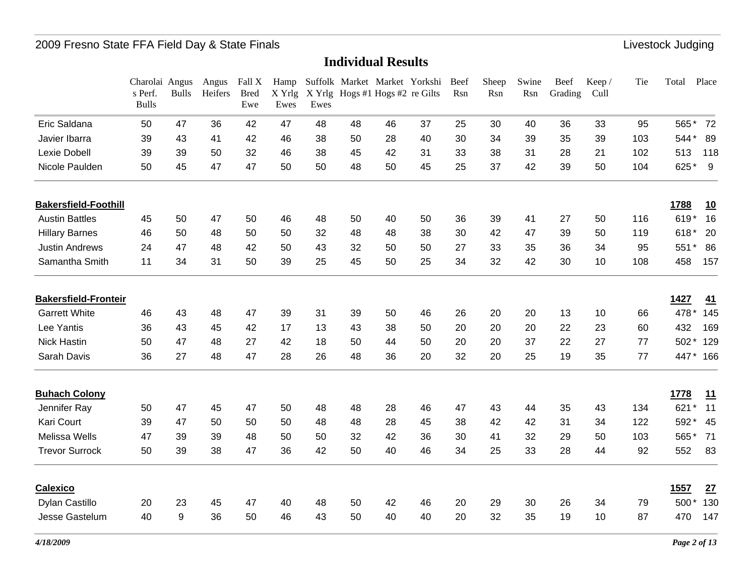|                             | Charolai Angus<br>s Perf.<br><b>Bulls</b> | <b>Bulls</b> | Angus<br>Heifers | Fall X<br><b>Bred</b><br>Ewe | Hamp<br>X Yrlg<br>Ewes | Ewes |    | X Yrlg Hogs #1 Hogs #2 re Gilts | Suffolk Market Market Yorkshi | Beef<br>Rsn | Sheep<br>Rsn | Swine<br>Rsn | Beef<br>Grading | Keep/<br>Cull | Tie | Place<br>Total |
|-----------------------------|-------------------------------------------|--------------|------------------|------------------------------|------------------------|------|----|---------------------------------|-------------------------------|-------------|--------------|--------------|-----------------|---------------|-----|----------------|
| Eric Saldana                | 50                                        | 47           | 36               | 42                           | 47                     | 48   | 48 | 46                              | 37                            | 25          | 30           | 40           | 36              | 33            | 95  | 72<br>565*     |
| Javier Ibarra               | 39                                        | 43           | 41               | 42                           | 46                     | 38   | 50 | 28                              | 40                            | 30          | 34           | 39           | 35              | 39            | 103 | 544*<br>89     |
| Lexie Dobell                | 39                                        | 39           | 50               | 32                           | 46                     | 38   | 45 | 42                              | 31                            | 33          | 38           | 31           | 28              | 21            | 102 | 513<br>118     |
| Nicole Paulden              | 50                                        | 45           | 47               | 47                           | 50                     | 50   | 48 | 50                              | 45                            | 25          | 37           | 42           | 39              | 50            | 104 | 625*<br>9      |
| <b>Bakersfield-Foothill</b> |                                           |              |                  |                              |                        |      |    |                                 |                               |             |              |              |                 |               |     | 1788<br>10     |
| <b>Austin Battles</b>       | 45                                        | 50           | 47               | 50                           | 46                     | 48   | 50 | 40                              | 50                            | 36          | 39           | 41           | 27              | 50            | 116 | 619*<br>16     |
| <b>Hillary Barnes</b>       | 46                                        | 50           | 48               | 50                           | 50                     | 32   | 48 | 48                              | 38                            | 30          | 42           | 47           | 39              | 50            | 119 | 618*<br>20     |
| <b>Justin Andrews</b>       | 24                                        | 47           | 48               | 42                           | 50                     | 43   | 32 | 50                              | 50                            | 27          | 33           | 35           | 36              | 34            | 95  | 86<br>551<br>* |
| Samantha Smith              | 11                                        | 34           | 31               | 50                           | 39                     | 25   | 45 | 50                              | 25                            | 34          | 32           | 42           | 30              | 10            | 108 | 458<br>157     |
| <b>Bakersfield-Fronteir</b> |                                           |              |                  |                              |                        |      |    |                                 |                               |             |              |              |                 |               |     | 1427<br>41     |
| <b>Garrett White</b>        | 46                                        | 43           | 48               | 47                           | 39                     | 31   | 39 | 50                              | 46                            | 26          | 20           | 20           | 13              | 10            | 66  | 478*<br>145    |
| Lee Yantis                  | 36                                        | 43           | 45               | 42                           | 17                     | 13   | 43 | 38                              | 50                            | 20          | 20           | 20           | 22              | 23            | 60  | 432<br>169     |
| <b>Nick Hastin</b>          | 50                                        | 47           | 48               | 27                           | 42                     | 18   | 50 | 44                              | 50                            | 20          | 20           | 37           | 22              | 27            | 77  | 502*<br>129    |
| Sarah Davis                 | 36                                        | 27           | 48               | 47                           | 28                     | 26   | 48 | 36                              | 20                            | 32          | 20           | 25           | 19              | 35            | 77  | 447*<br>166    |
| <b>Buhach Colony</b>        |                                           |              |                  |                              |                        |      |    |                                 |                               |             |              |              |                 |               |     | 1778<br>11     |
| Jennifer Ray                | 50                                        | 47           | 45               | 47                           | 50                     | 48   | 48 | 28                              | 46                            | 47          | 43           | 44           | 35              | 43            | 134 | 11<br>621      |
| <b>Kari Court</b>           | 39                                        | 47           | 50               | 50                           | 50                     | 48   | 48 | 28                              | 45                            | 38          | 42           | 42           | 31              | 34            | 122 | 592*<br>45     |
| Melissa Wells               | 47                                        | 39           | 39               | 48                           | 50                     | 50   | 32 | 42                              | 36                            | 30          | 41           | 32           | 29              | 50            | 103 | 565*<br>71     |
| <b>Trevor Surrock</b>       | 50                                        | 39           | 38               | 47                           | 36                     | 42   | 50 | 40                              | 46                            | 34          | 25           | 33           | 28              | 44            | 92  | 552<br>83      |
| <b>Calexico</b>             |                                           |              |                  |                              |                        |      |    |                                 |                               |             |              |              |                 |               |     | 1557<br>27     |
| Dylan Castillo              | 20                                        | 23           | 45               | 47                           | 40                     | 48   | 50 | 42                              | 46                            | 20          | 29           | 30           | 26              | 34            | 79  | 500*<br>130    |
| Jesse Gastelum              | 40                                        | 9            | 36               | 50                           | 46                     | 43   | 50 | 40                              | 40                            | 20          | 32           | 35           | 19              | 10            | 87  | 470<br>147     |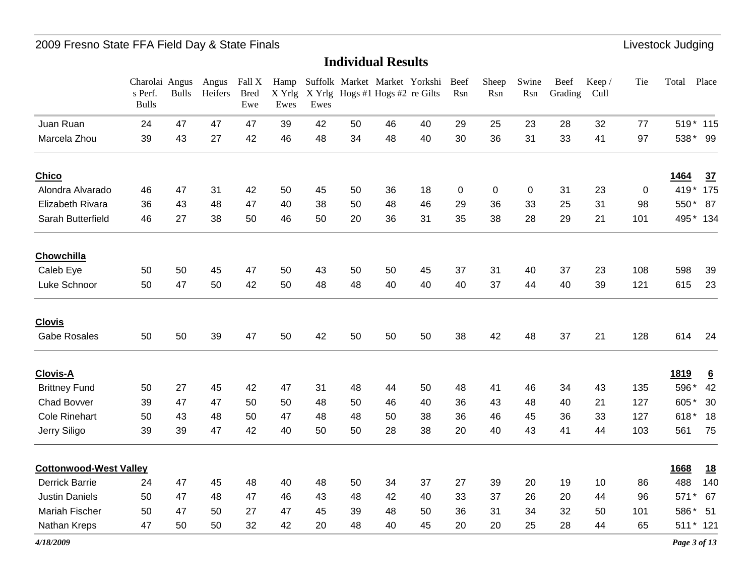|                               | Charolai Angus<br>s Perf.<br><b>Bulls</b> | <b>Bulls</b> | Angus<br>Heifers | Fall X<br><b>Bred</b><br>Ewe | Hamp<br>X Yrlg<br>Ewes | Ewes |    | Suffolk Market Market Yorkshi<br>X Yrlg Hogs #1 Hogs #2 re Gilts |    | Beef<br>Rsn | Sheep<br>Rsn | Swine<br>Rsn | Beef<br>Grading | Keep/<br>Cull | Tie | Total | Place           |
|-------------------------------|-------------------------------------------|--------------|------------------|------------------------------|------------------------|------|----|------------------------------------------------------------------|----|-------------|--------------|--------------|-----------------|---------------|-----|-------|-----------------|
| Juan Ruan                     | 24                                        | 47           | 47               | 47                           | 39                     | 42   | 50 | 46                                                               | 40 | 29          | 25           | 23           | 28              | 32            | 77  |       | 519* 115        |
| Marcela Zhou                  | 39                                        | 43           | 27               | 42                           | 46                     | 48   | 34 | 48                                                               | 40 | 30          | 36           | 31           | 33              | 41            | 97  | 538*  | 99              |
| <b>Chico</b>                  |                                           |              |                  |                              |                        |      |    |                                                                  |    |             |              |              |                 |               |     | 1464  | 37              |
| Alondra Alvarado              | 46                                        | 47           | 31               | 42                           | 50                     | 45   | 50 | 36                                                               | 18 | $\mathbf 0$ | 0            | 0            | 31              | 23            | 0   |       | 419* 175        |
| Elizabeth Rivara              | 36                                        | 43           | 48               | 47                           | 40                     | 38   | 50 | 48                                                               | 46 | 29          | 36           | 33           | 25              | 31            | 98  | 550*  | 87              |
| Sarah Butterfield             | 46                                        | 27           | 38               | 50                           | 46                     | 50   | 20 | 36                                                               | 31 | 35          | 38           | 28           | 29              | 21            | 101 |       | 495* 134        |
| <b>Chowchilla</b>             |                                           |              |                  |                              |                        |      |    |                                                                  |    |             |              |              |                 |               |     |       |                 |
| Caleb Eye                     | 50                                        | 50           | 45               | 47                           | 50                     | 43   | 50 | 50                                                               | 45 | 37          | 31           | 40           | 37              | 23            | 108 | 598   | 39              |
| Luke Schnoor                  | 50                                        | 47           | 50               | 42                           | 50                     | 48   | 48 | 40                                                               | 40 | 40          | 37           | 44           | 40              | 39            | 121 | 615   | 23              |
| <b>Clovis</b>                 |                                           |              |                  |                              |                        |      |    |                                                                  |    |             |              |              |                 |               |     |       |                 |
| <b>Gabe Rosales</b>           | 50                                        | 50           | 39               | 47                           | 50                     | 42   | 50 | 50                                                               | 50 | 38          | 42           | 48           | 37              | 21            | 128 | 614   | 24              |
| <b>Clovis-A</b>               |                                           |              |                  |                              |                        |      |    |                                                                  |    |             |              |              |                 |               |     | 1819  | $6\overline{6}$ |
| <b>Brittney Fund</b>          | 50                                        | 27           | 45               | 42                           | 47                     | 31   | 48 | 44                                                               | 50 | 48          | 41           | 46           | 34              | 43            | 135 | 596*  | 42              |
| <b>Chad Bovver</b>            | 39                                        | 47           | 47               | 50                           | 50                     | 48   | 50 | 46                                                               | 40 | 36          | 43           | 48           | 40              | 21            | 127 | 605*  | 30              |
| <b>Cole Rinehart</b>          | 50                                        | 43           | 48               | 50                           | 47                     | 48   | 48 | 50                                                               | 38 | 36          | 46           | 45           | 36              | 33            | 127 | 618*  | 18              |
| Jerry Siligo                  | 39                                        | 39           | 47               | 42                           | 40                     | 50   | 50 | 28                                                               | 38 | 20          | 40           | 43           | 41              | 44            | 103 | 561   | 75              |
| <b>Cottonwood-West Valley</b> |                                           |              |                  |                              |                        |      |    |                                                                  |    |             |              |              |                 |               |     | 1668  | <u>18</u>       |
| <b>Derrick Barrie</b>         | 24                                        | 47           | 45               | 48                           | 40                     | 48   | 50 | 34                                                               | 37 | 27          | 39           | 20           | 19              | 10            | 86  | 488   | 140             |
| <b>Justin Daniels</b>         | 50                                        | 47           | 48               | 47                           | 46                     | 43   | 48 | 42                                                               | 40 | 33          | 37           | 26           | 20              | 44            | 96  | 571*  | 67              |
| Mariah Fischer                | 50                                        | 47           | 50               | 27                           | 47                     | 45   | 39 | 48                                                               | 50 | 36          | 31           | 34           | 32              | 50            | 101 | 586*  | 51              |
| Nathan Kreps                  | 47                                        | 50           | 50               | 32                           | 42                     | 20   | 48 | 40                                                               | 45 | 20          | 20           | 25           | 28              | 44            | 65  |       | 511 * 121       |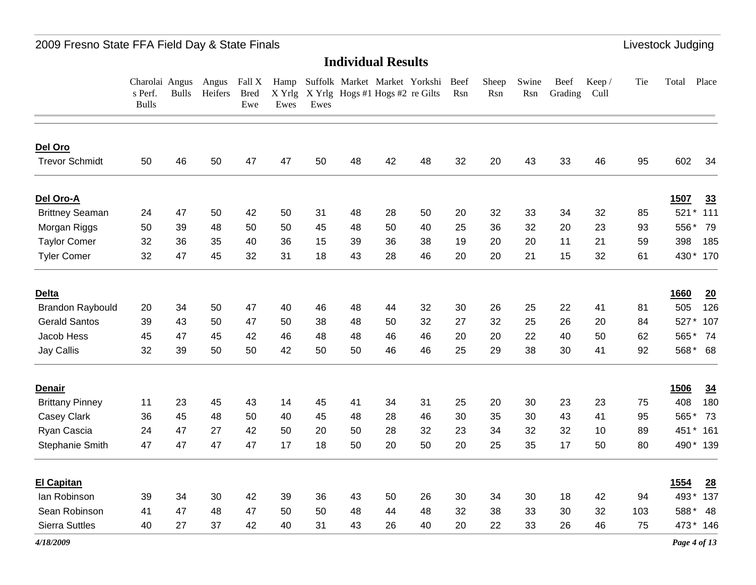### 2009 Fresno State FFA Field Day & State Finals **Little and State Accord Participate 1996** Livestock Judging

#### **Individual Results**

Charolai Angus Angus Fall X Hamp Suffolk Market Market Yorkshi Beef s Perf. Bulls Heifers Bred Bulls Ewe X Yrlg X Yrlg Hogs #1 Hogs #2 re Gilts Rsn Ewes Ewes Sheep Rsn Swine Rsn Grading Cull Beef Keep / TieTotal Place

| Del Oro                 |    |    |    |    |    |    |    |    |    |    |    |    |    |    |     |                |                |
|-------------------------|----|----|----|----|----|----|----|----|----|----|----|----|----|----|-----|----------------|----------------|
| <b>Trevor Schmidt</b>   | 50 | 46 | 50 | 47 | 47 | 50 | 48 | 42 | 48 | 32 | 20 | 43 | 33 | 46 | 95  | 602            | 34             |
| Del Oro-A               |    |    |    |    |    |    |    |    |    |    |    |    |    |    |     | 1507           | 33             |
| <b>Brittney Seaman</b>  | 24 | 47 | 50 | 42 | 50 | 31 | 48 | 28 | 50 | 20 | 32 | 33 | 34 | 32 | 85  | 521            | 111            |
| Morgan Riggs            | 50 | 39 | 48 | 50 | 50 | 45 | 48 | 50 | 40 | 25 | 36 | 32 | 20 | 23 | 93  | 556*           | 79             |
| <b>Taylor Comer</b>     | 32 | 36 | 35 | 40 | 36 | 15 | 39 | 36 | 38 | 19 | 20 | 20 | 11 | 21 | 59  | 398            | 185            |
| <b>Tyler Comer</b>      | 32 | 47 | 45 | 32 | 31 | 18 | 43 | 28 | 46 | 20 | 20 | 21 | 15 | 32 | 61  | 430*           | 170            |
| Delta                   |    |    |    |    |    |    |    |    |    |    |    |    |    |    |     | 1660           | 20             |
| <b>Brandon Raybould</b> | 20 | 34 | 50 | 47 | 40 | 46 | 48 | 44 | 32 | 30 | 26 | 25 | 22 | 41 | 81  | 505            | 126            |
| <b>Gerald Santos</b>    | 39 | 43 | 50 | 47 | 50 | 38 | 48 | 50 | 32 | 27 | 32 | 25 | 26 | 20 | 84  | 527*           | 107            |
| Jacob Hess              | 45 | 47 | 45 | 42 | 46 | 48 | 48 | 46 | 46 | 20 | 20 | 22 | 40 | 50 | 62  | 565            | 74             |
| <b>Jay Callis</b>       | 32 | 39 | 50 | 50 | 42 | 50 | 50 | 46 | 46 | 25 | 29 | 38 | 30 | 41 | 92  | 568*           | 68             |
| <b>Denair</b>           |    |    |    |    |    |    |    |    |    |    |    |    |    |    |     | 1506           | $\frac{34}{5}$ |
| <b>Brittany Pinney</b>  | 11 | 23 | 45 | 43 | 14 | 45 | 41 | 34 | 31 | 25 | 20 | 30 | 23 | 23 | 75  | 408            | 180            |
| <b>Casey Clark</b>      | 36 | 45 | 48 | 50 | 40 | 45 | 48 | 28 | 46 | 30 | 35 | 30 | 43 | 41 | 95  | 565*           | 73             |
| Ryan Cascia             | 24 | 47 | 27 | 42 | 50 | 20 | 50 | 28 | 32 | 23 | 34 | 32 | 32 | 10 | 89  | 451<br>$\star$ | 161            |
| Stephanie Smith         | 47 | 47 | 47 | 47 | 17 | 18 | 50 | 20 | 50 | 20 | 25 | 35 | 17 | 50 | 80  | 490*           | 139            |
| <b>El Capitan</b>       |    |    |    |    |    |    |    |    |    |    |    |    |    |    |     | 1554           | 28             |
| lan Robinson            | 39 | 34 | 30 | 42 | 39 | 36 | 43 | 50 | 26 | 30 | 34 | 30 | 18 | 42 | 94  | 493*           | 137            |
| Sean Robinson           | 41 | 47 | 48 | 47 | 50 | 50 | 48 | 44 | 48 | 32 | 38 | 33 | 30 | 32 | 103 | 588*           | 48             |
| <b>Sierra Suttles</b>   | 40 | 27 | 37 | 42 | 40 | 31 | 43 | 26 | 40 | 20 | 22 | 33 | 26 | 46 | 75  | 473*           | 146            |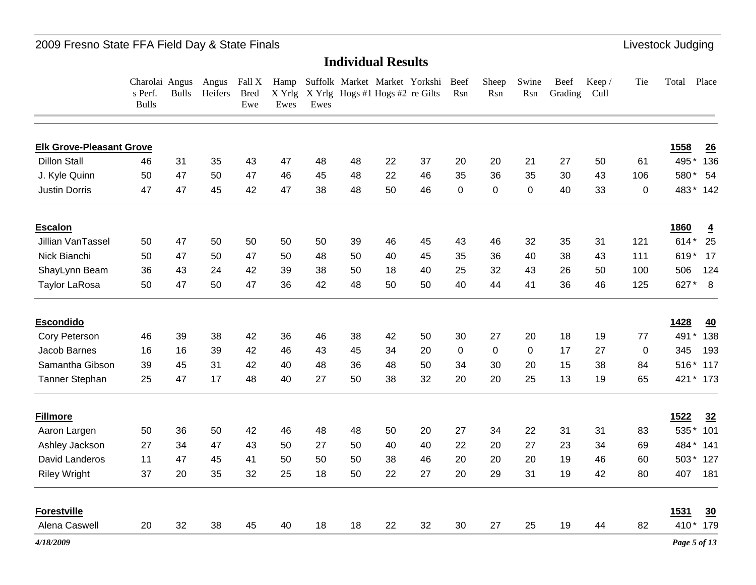#### 2009 Fresno State FFA Field Day & State Finals **Little State State Finals** Livestock Judging

#### **Individual Results**

Charolai Angus Angus Fall X Hamp Suffolk Market Market Yorkshi Beef s Perf. Bulls Bulls Heifers Bred Ewe X Yrlg X Yrlg Hogs #1 Hogs #2 re Gilts Rsn Ewes Ewes Sheep Rsn Swine Rsn Grading Cull Beef Keep / TieTotal Place

| <b>Elk Grove-Pleasant Grove</b> |    |    |    |    |    |    |    |    |    |             |             |           |    |    |             | 1558<br>26                    |
|---------------------------------|----|----|----|----|----|----|----|----|----|-------------|-------------|-----------|----|----|-------------|-------------------------------|
| <b>Dillon Stall</b>             | 46 | 31 | 35 | 43 | 47 | 48 | 48 | 22 | 37 | 20          | 20          | 21        | 27 | 50 | 61          | 495<br>136                    |
| J. Kyle Quinn                   | 50 | 47 | 50 | 47 | 46 | 45 | 48 | 22 | 46 | 35          | 36          | 35        | 30 | 43 | 106         | 580*<br>54                    |
| <b>Justin Dorris</b>            | 47 | 47 | 45 | 42 | 47 | 38 | 48 | 50 | 46 | $\mathbf 0$ | $\mathbf 0$ | $\pmb{0}$ | 40 | 33 | $\mathbf 0$ | 483* 142                      |
| <b>Escalon</b>                  |    |    |    |    |    |    |    |    |    |             |             |           |    |    |             | <b>1860</b><br>$\overline{4}$ |
| Jillian VanTassel               | 50 | 47 | 50 | 50 | 50 | 50 | 39 | 46 | 45 | 43          | 46          | 32        | 35 | 31 | 121         | 25<br>$614*$                  |
| Nick Bianchi                    | 50 | 47 | 50 | 47 | 50 | 48 | 50 | 40 | 45 | 35          | 36          | 40        | 38 | 43 | 111         | 619*<br>17                    |
| ShayLynn Beam                   | 36 | 43 | 24 | 42 | 39 | 38 | 50 | 18 | 40 | 25          | 32          | 43        | 26 | 50 | 100         | 506<br>124                    |
| <b>Taylor LaRosa</b>            | 50 | 47 | 50 | 47 | 36 | 42 | 48 | 50 | 50 | 40          | 44          | 41        | 36 | 46 | 125         | 627*<br>8                     |
| <b>Escondido</b>                |    |    |    |    |    |    |    |    |    |             |             |           |    |    |             | 1428<br>40                    |
| Cory Peterson                   | 46 | 39 | 38 | 42 | 36 | 46 | 38 | 42 | 50 | 30          | 27          | 20        | 18 | 19 | 77          | 138<br>491                    |
| Jacob Barnes                    | 16 | 16 | 39 | 42 | 46 | 43 | 45 | 34 | 20 | $\Omega$    | 0           | $\Omega$  | 17 | 27 | $\Omega$    | 345<br>193                    |
| Samantha Gibson                 | 39 | 45 | 31 | 42 | 40 | 48 | 36 | 48 | 50 | 34          | 30          | 20        | 15 | 38 | 84          | 516*<br>117                   |
| <b>Tanner Stephan</b>           | 25 | 47 | 17 | 48 | 40 | 27 | 50 | 38 | 32 | 20          | 20          | 25        | 13 | 19 | 65          | 421 * 173                     |
| <b>Fillmore</b>                 |    |    |    |    |    |    |    |    |    |             |             |           |    |    |             | 1522<br>32                    |
| Aaron Largen                    | 50 | 36 | 50 | 42 | 46 | 48 | 48 | 50 | 20 | 27          | 34          | 22        | 31 | 31 | 83          | 101<br>535                    |
| Ashley Jackson                  | 27 | 34 | 47 | 43 | 50 | 27 | 50 | 40 | 40 | 22          | 20          | 27        | 23 | 34 | 69          | 484*<br>141                   |
| David Landeros                  | 11 | 47 | 45 | 41 | 50 | 50 | 50 | 38 | 46 | 20          | 20          | 20        | 19 | 46 | 60          | 503*<br>127                   |
| <b>Riley Wright</b>             | 37 | 20 | 35 | 32 | 25 | 18 | 50 | 22 | 27 | 20          | 29          | 31        | 19 | 42 | 80          | 181<br>407                    |
| <b>Forestville</b>              |    |    |    |    |    |    |    |    |    |             |             |           |    |    |             | 1531<br>$\underline{30}$      |
| Alena Caswell                   | 20 | 32 | 38 | 45 | 40 | 18 | 18 | 22 | 32 | 30          | 27          | 25        | 19 | 44 | 82          | 410* 179                      |
| 4/18/2009                       |    |    |    |    |    |    |    |    |    |             |             |           |    |    |             | Page 5 of 13                  |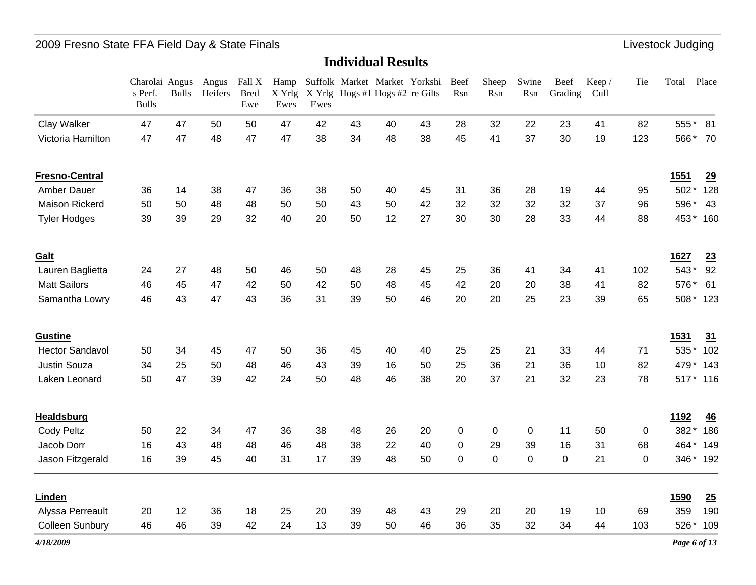|                        | Charolai Angus<br>s Perf.<br><b>Bulls</b> | <b>Bulls</b> | Angus<br>Heifers | Fall X<br><b>Bred</b><br>Ewe | X Yrlg<br>Ewes | Ewes |    | Hamp Suffolk Market Market Yorkshi<br>X Yrlg Hogs #1 Hogs #2 re Gilts |    | Beef<br>Rsn | Sheep<br>Rsn | Swine<br>Rsn | Beef<br>Grading | Keep/<br>Cull | Tie         | Total       | Place    |
|------------------------|-------------------------------------------|--------------|------------------|------------------------------|----------------|------|----|-----------------------------------------------------------------------|----|-------------|--------------|--------------|-----------------|---------------|-------------|-------------|----------|
| Clay Walker            | 47                                        | 47           | 50               | 50                           | 47             | 42   | 43 | 40                                                                    | 43 | 28          | 32           | 22           | 23              | 41            | 82          |             | 555* 81  |
| Victoria Hamilton      | 47                                        | 47           | 48               | 47                           | 47             | 38   | 34 | 48                                                                    | 38 | 45          | 41           | 37           | 30              | 19            | 123         |             | 566* 70  |
| <b>Fresno-Central</b>  |                                           |              |                  |                              |                |      |    |                                                                       |    |             |              |              |                 |               |             | <u>1551</u> | 29       |
| <b>Amber Dauer</b>     | 36                                        | 14           | 38               | 47                           | 36             | 38   | 50 | 40                                                                    | 45 | 31          | 36           | 28           | 19              | 44            | 95          | 502*        | 128      |
| Maison Rickerd         | 50                                        | 50           | 48               | 48                           | 50             | 50   | 43 | 50                                                                    | 42 | 32          | 32           | 32           | 32              | 37            | 96          | 596*        | 43       |
| <b>Tyler Hodges</b>    | 39                                        | 39           | 29               | 32                           | 40             | 20   | 50 | 12                                                                    | 27 | 30          | 30           | 28           | 33              | 44            | 88          |             | 453* 160 |
| Galt                   |                                           |              |                  |                              |                |      |    |                                                                       |    |             |              |              |                 |               |             | 1627        | 23       |
| Lauren Baglietta       | 24                                        | 27           | 48               | 50                           | 46             | 50   | 48 | 28                                                                    | 45 | 25          | 36           | 41           | 34              | 41            | 102         | 543*        | 92       |
| <b>Matt Sailors</b>    | 46                                        | 45           | 47               | 42                           | 50             | 42   | 50 | 48                                                                    | 45 | 42          | 20           | 20           | 38              | 41            | 82          | 576*        | 61       |
| Samantha Lowry         | 46                                        | 43           | 47               | 43                           | 36             | 31   | 39 | 50                                                                    | 46 | 20          | 20           | 25           | 23              | 39            | 65          |             | 508* 123 |
| <b>Gustine</b>         |                                           |              |                  |                              |                |      |    |                                                                       |    |             |              |              |                 |               |             | <u>1531</u> | 31       |
| <b>Hector Sandavol</b> | 50                                        | 34           | 45               | 47                           | 50             | 36   | 45 | 40                                                                    | 40 | 25          | 25           | 21           | 33              | 44            | 71          |             | 535* 102 |
| Justin Souza           | 34                                        | 25           | 50               | 48                           | 46             | 43   | 39 | 16                                                                    | 50 | 25          | 36           | 21           | 36              | 10            | 82          |             | 479* 143 |
| Laken Leonard          | 50                                        | 47           | 39               | 42                           | 24             | 50   | 48 | 46                                                                    | 38 | 20          | 37           | 21           | 32              | 23            | 78          |             | 517* 116 |
| <b>Healdsburg</b>      |                                           |              |                  |                              |                |      |    |                                                                       |    |             |              |              |                 |               |             | <u>1192</u> | 46       |
| <b>Cody Peltz</b>      | 50                                        | 22           | 34               | 47                           | 36             | 38   | 48 | 26                                                                    | 20 | 0           | 0            | 0            | 11              | 50            | 0           | 382*        | 186      |
| Jacob Dorr             | 16                                        | 43           | 48               | 48                           | 46             | 48   | 38 | 22                                                                    | 40 | 0           | 29           | 39           | 16              | 31            | 68          | 464*        | 149      |
| Jason Fitzgerald       | 16                                        | 39           | 45               | 40                           | 31             | 17   | 39 | 48                                                                    | 50 | $\mathbf 0$ | $\pmb{0}$    | $\pmb{0}$    | $\mathbf 0$     | 21            | $\mathbf 0$ |             | 346* 192 |
| Linden                 |                                           |              |                  |                              |                |      |    |                                                                       |    |             |              |              |                 |               |             | <b>1590</b> | 25       |
| Alyssa Perreault       | 20                                        | 12           | 36               | 18                           | 25             | 20   | 39 | 48                                                                    | 43 | 29          | 20           | 20           | 19              | 10            | 69          | 359         | 190      |
| Colleen Sunbury        | 46                                        | 46           | 39               | 42                           | 24             | 13   | 39 | 50                                                                    | 46 | 36          | 35           | 32           | 34              | 44            | 103         | 526*        | 109      |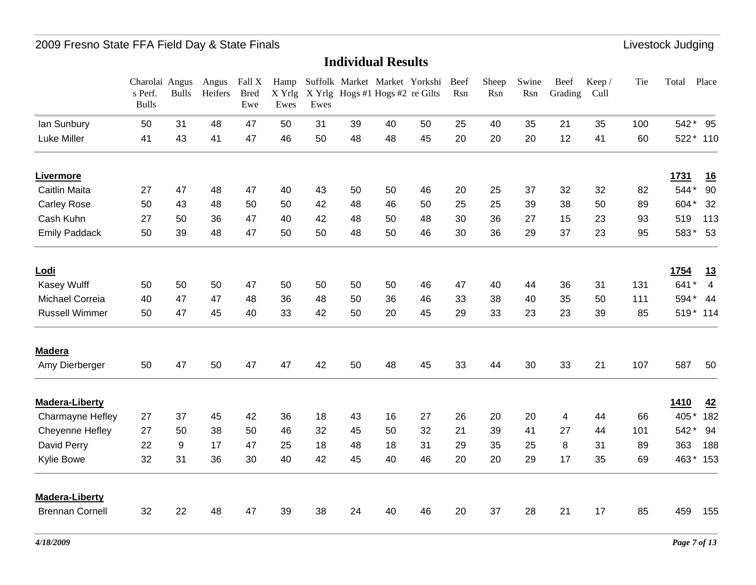|                        | Charolai Angus<br>s Perf.<br><b>Bulls</b> | <b>Bulls</b> | Angus<br>Heifers | Fall X<br><b>Bred</b><br>Ewe | Hamp<br>X Yrlg<br>Ewes | Ewes |    | Suffolk Market Market Yorkshi<br>X Yrlg Hogs #1 Hogs #2 re Gilts |    | Beef<br>Rsn | Sheep<br>Rsn | Swine<br>Rsn | Beef<br>Grading | Keep/<br>Cull | Tie | Total | Place                     |
|------------------------|-------------------------------------------|--------------|------------------|------------------------------|------------------------|------|----|------------------------------------------------------------------|----|-------------|--------------|--------------|-----------------|---------------|-----|-------|---------------------------|
| lan Sunbury            | 50                                        | 31           | 48               | 47                           | 50                     | 31   | 39 | 40                                                               | 50 | 25          | 40           | 35           | 21              | 35            | 100 | 542*  | 95                        |
| <b>Luke Miller</b>     | 41                                        | 43           | 41               | 47                           | 46                     | 50   | 48 | 48                                                               | 45 | 20          | 20           | 20           | 12              | 41            | 60  |       | 522* 110                  |
| Livermore              |                                           |              |                  |                              |                        |      |    |                                                                  |    |             |              |              |                 |               |     | 1731  | <u>16</u>                 |
| <b>Caitlin Maita</b>   | 27                                        | 47           | 48               | 47                           | 40                     | 43   | 50 | 50                                                               | 46 | 20          | 25           | 37           | 32              | 32            | 82  | 544*  | 90                        |
| Carley Rose            | 50                                        | 43           | 48               | 50                           | 50                     | 42   | 48 | 46                                                               | 50 | 25          | 25           | 39           | 38              | 50            | 89  | 604*  | 32                        |
| Cash Kuhn              | 27                                        | 50           | 36               | 47                           | 40                     | 42   | 48 | 50                                                               | 48 | 30          | 36           | 27           | 15              | 23            | 93  | 519   | 113                       |
| <b>Emily Paddack</b>   | 50                                        | 39           | 48               | 47                           | 50                     | 50   | 48 | 50                                                               | 46 | 30          | 36           | 29           | 37              | 23            | 95  | 583*  | 53                        |
| Lodi                   |                                           |              |                  |                              |                        |      |    |                                                                  |    |             |              |              |                 |               |     | 1754  | <u>13</u>                 |
| Kasey Wulff            | 50                                        | 50           | 50               | 47                           | 50                     | 50   | 50 | 50                                                               | 46 | 47          | 40           | 44           | 36              | 31            | 131 | 641   | $\star$<br>$\overline{4}$ |
| Michael Correia        | 40                                        | 47           | 47               | 48                           | 36                     | 48   | 50 | 36                                                               | 46 | 33          | 38           | 40           | 35              | 50            | 111 | 594*  | 44                        |
| <b>Russell Wimmer</b>  | 50                                        | 47           | 45               | 40                           | 33                     | 42   | 50 | 20                                                               | 45 | 29          | 33           | 23           | 23              | 39            | 85  |       | 519* 114                  |
| <b>Madera</b>          |                                           |              |                  |                              |                        |      |    |                                                                  |    |             |              |              |                 |               |     |       |                           |
| Amy Dierberger         | 50                                        | 47           | 50               | 47                           | 47                     | 42   | 50 | 48                                                               | 45 | 33          | 44           | 30           | 33              | 21            | 107 | 587   | 50                        |
| <b>Madera-Liberty</b>  |                                           |              |                  |                              |                        |      |    |                                                                  |    |             |              |              |                 |               |     | 1410  | 42                        |
| Charmayne Hefley       | 27                                        | 37           | 45               | 42                           | 36                     | 18   | 43 | 16                                                               | 27 | 26          | 20           | 20           | 4               | 44            | 66  | 405*  | 182                       |
| Cheyenne Hefley        | 27                                        | 50           | 38               | 50                           | 46                     | 32   | 45 | 50                                                               | 32 | 21          | 39           | 41           | 27              | 44            | 101 | 542*  | 94                        |
| David Perry            | 22                                        | 9            | 17               | 47                           | 25                     | 18   | 48 | 18                                                               | 31 | 29          | 35           | 25           | 8               | 31            | 89  | 363   | 188                       |
| <b>Kylie Bowe</b>      | 32                                        | 31           | 36               | 30                           | 40                     | 42   | 45 | 40                                                               | 46 | 20          | 20           | 29           | 17              | 35            | 69  |       | 463* 153                  |
| <b>Madera-Liberty</b>  |                                           |              |                  |                              |                        |      |    |                                                                  |    |             |              |              |                 |               |     |       |                           |
| <b>Brennan Cornell</b> | 32                                        | 22           | 48               | 47                           | 39                     | 38   | 24 | 40                                                               | 46 | 20          | 37           | 28           | 21              | 17            | 85  | 459   | 155                       |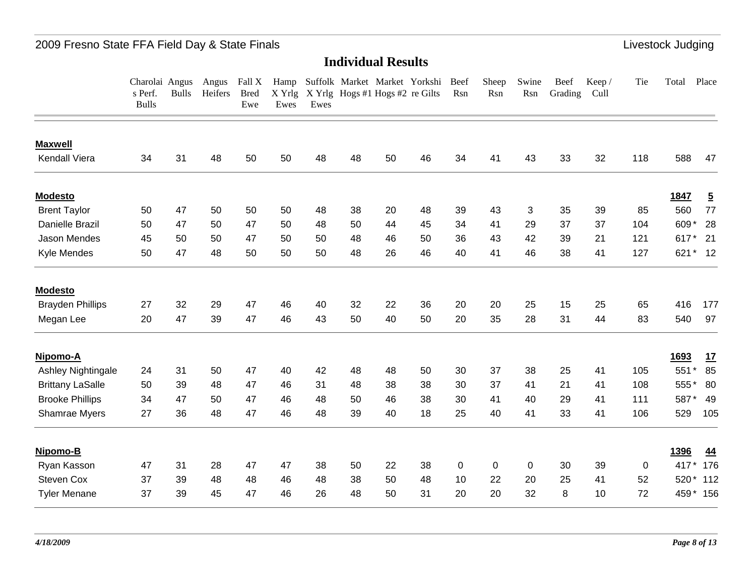### 2009 Fresno State FFA Field Day & State Finals **Little and State Accord Participate 1996** Livestock Judging

#### **Individual Results**

Charolai Angus Angus Fall X Hamp Suffolk Market Market Yorkshi Beef s Perf. Bulls Heifers Bred Bulls Ewe X Yrlg X Yrlg Hogs #1 Hogs #2 re Gilts Rsn Ewes Ewes Sheep Rsn Swine Rsn Grading Cull Beef Keep / TieTotal Place

| <b>Maxwell</b>          |    |    |    |    |    |    |    |    |    |          |    |    |    |    |          |      |                |
|-------------------------|----|----|----|----|----|----|----|----|----|----------|----|----|----|----|----------|------|----------------|
| <b>Kendall Viera</b>    | 34 | 31 | 48 | 50 | 50 | 48 | 48 | 50 | 46 | 34       | 41 | 43 | 33 | 32 | 118      | 588  | 47             |
| <b>Modesto</b>          |    |    |    |    |    |    |    |    |    |          |    |    |    |    |          | 1847 | $\overline{5}$ |
| <b>Brent Taylor</b>     | 50 | 47 | 50 | 50 | 50 | 48 | 38 | 20 | 48 | 39       | 43 | 3  | 35 | 39 | 85       | 560  | 77             |
| <b>Danielle Brazil</b>  | 50 | 47 | 50 | 47 | 50 | 48 | 50 | 44 | 45 | 34       | 41 | 29 | 37 | 37 | 104      | 609* | 28             |
| Jason Mendes            | 45 | 50 | 50 | 47 | 50 | 50 | 48 | 46 | 50 | 36       | 43 | 42 | 39 | 21 | 121      | 617  | 21             |
| <b>Kyle Mendes</b>      | 50 | 47 | 48 | 50 | 50 | 50 | 48 | 26 | 46 | 40       | 41 | 46 | 38 | 41 | 127      | 621  | 12             |
| <b>Modesto</b>          |    |    |    |    |    |    |    |    |    |          |    |    |    |    |          |      |                |
| <b>Brayden Phillips</b> | 27 | 32 | 29 | 47 | 46 | 40 | 32 | 22 | 36 | 20       | 20 | 25 | 15 | 25 | 65       | 416  | 177            |
| Megan Lee               | 20 | 47 | 39 | 47 | 46 | 43 | 50 | 40 | 50 | 20       | 35 | 28 | 31 | 44 | 83       | 540  | 97             |
| Nipomo-A                |    |    |    |    |    |    |    |    |    |          |    |    |    |    |          | 1693 | <u>17</u>      |
| Ashley Nightingale      | 24 | 31 | 50 | 47 | 40 | 42 | 48 | 48 | 50 | 30       | 37 | 38 | 25 | 41 | 105      | 551  | 85             |
| <b>Brittany LaSalle</b> | 50 | 39 | 48 | 47 | 46 | 31 | 48 | 38 | 38 | 30       | 37 | 41 | 21 | 41 | 108      | 555  | 80             |
| <b>Brooke Phillips</b>  | 34 | 47 | 50 | 47 | 46 | 48 | 50 | 46 | 38 | 30       | 41 | 40 | 29 | 41 | 111      | 587  | 49             |
| Shamrae Myers           | 27 | 36 | 48 | 47 | 46 | 48 | 39 | 40 | 18 | 25       | 40 | 41 | 33 | 41 | 106      | 529  | 105            |
| Nipomo-B                |    |    |    |    |    |    |    |    |    |          |    |    |    |    |          | 1396 | 44             |
| Ryan Kasson             | 47 | 31 | 28 | 47 | 47 | 38 | 50 | 22 | 38 | $\Omega$ | 0  | 0  | 30 | 39 | $\Omega$ | 417  | 176            |
| <b>Steven Cox</b>       | 37 | 39 | 48 | 48 | 46 | 48 | 38 | 50 | 48 | 10       | 22 | 20 | 25 | 41 | 52       | 520* | 112            |
| <b>Tyler Menane</b>     | 37 | 39 | 45 | 47 | 46 | 26 | 48 | 50 | 31 | 20       | 20 | 32 | 8  | 10 | 72       | 459  | 156            |
|                         |    |    |    |    |    |    |    |    |    |          |    |    |    |    |          |      |                |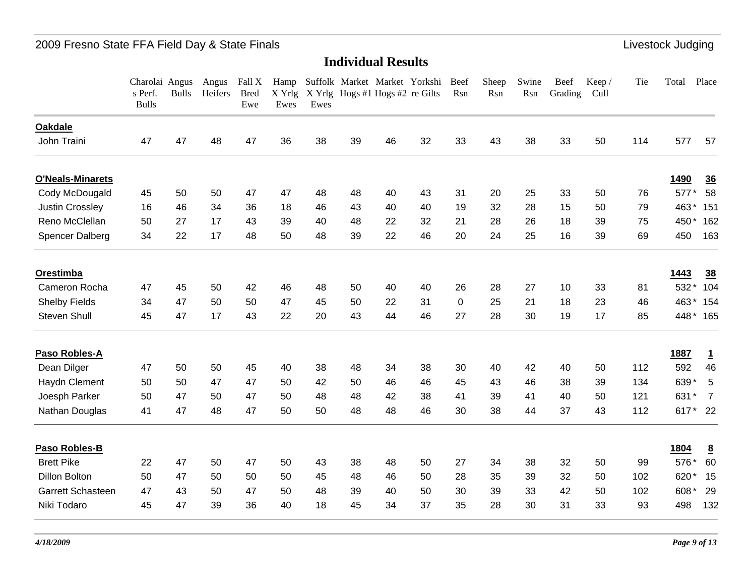|                         | Charolai Angus<br>s Perf.<br><b>Bulls</b> | <b>Bulls</b> | Angus<br>Heifers | Fall X<br><b>Bred</b><br>Ewe | Hamp<br>Ewes | Ewes |    | Suffolk Market Market Yorkshi<br>X Yrlg X Yrlg Hogs #1 Hogs #2 re Gilts |    | Beef<br>Rsn | Sheep<br>Rsn | Swine<br>Rsn | Beef<br>Grading | Keep/<br>Cull | Tie | Total       | Place           |
|-------------------------|-------------------------------------------|--------------|------------------|------------------------------|--------------|------|----|-------------------------------------------------------------------------|----|-------------|--------------|--------------|-----------------|---------------|-----|-------------|-----------------|
| <b>Oakdale</b>          |                                           |              |                  |                              |              |      |    |                                                                         |    |             |              |              |                 |               |     |             |                 |
| John Traini             | 47                                        | 47           | 48               | 47                           | 36           | 38   | 39 | 46                                                                      | 32 | 33          | 43           | 38           | 33              | 50            | 114 | 577         | 57              |
| <b>O'Neals-Minarets</b> |                                           |              |                  |                              |              |      |    |                                                                         |    |             |              |              |                 |               |     | <b>1490</b> | 36              |
| Cody McDougald          | 45                                        | 50           | 50               | 47                           | 47           | 48   | 48 | 40                                                                      | 43 | 31          | 20           | 25           | 33              | 50            | 76  | 577*        | 58              |
| <b>Justin Crossley</b>  | 16                                        | 46           | 34               | 36                           | 18           | 46   | 43 | 40                                                                      | 40 | 19          | 32           | 28           | 15              | 50            | 79  | 463*        | 151             |
| Reno McClellan          | 50                                        | 27           | 17               | 43                           | 39           | 40   | 48 | 22                                                                      | 32 | 21          | 28           | 26           | 18              | 39            | 75  | 450*        | 162             |
| Spencer Dalberg         | 34                                        | 22           | 17               | 48                           | 50           | 48   | 39 | 22                                                                      | 46 | 20          | 24           | 25           | 16              | 39            | 69  | 450         | 163             |
| Orestimba               |                                           |              |                  |                              |              |      |    |                                                                         |    |             |              |              |                 |               |     | 1443        | 38              |
| Cameron Rocha           | 47                                        | 45           | 50               | 42                           | 46           | 48   | 50 | 40                                                                      | 40 | 26          | 28           | 27           | 10              | 33            | 81  | 532*        | 104             |
| <b>Shelby Fields</b>    | 34                                        | 47           | 50               | 50                           | 47           | 45   | 50 | 22                                                                      | 31 | $\mathbf 0$ | 25           | 21           | 18              | 23            | 46  | 463*        | 154             |
| Steven Shull            | 45                                        | 47           | 17               | 43                           | 22           | 20   | 43 | 44                                                                      | 46 | 27          | 28           | 30           | 19              | 17            | 85  |             | 448* 165        |
| Paso Robles-A           |                                           |              |                  |                              |              |      |    |                                                                         |    |             |              |              |                 |               |     | 1887        | <u>1</u>        |
| Dean Dilger             | 47                                        | 50           | 50               | 45                           | 40           | 38   | 48 | 34                                                                      | 38 | 30          | 40           | 42           | 40              | 50            | 112 | 592         | 46              |
| Haydn Clement           | 50                                        | 50           | 47               | 47                           | 50           | 42   | 50 | 46                                                                      | 46 | 45          | 43           | 46           | 38              | 39            | 134 | 639*        | 5               |
| Joesph Parker           | 50                                        | 47           | 50               | 47                           | 50           | 48   | 48 | 42                                                                      | 38 | 41          | 39           | 41           | 40              | 50            | 121 | 631*        | $\overline{7}$  |
| Nathan Douglas          | 41                                        | 47           | 48               | 47                           | 50           | 50   | 48 | 48                                                                      | 46 | 30          | 38           | 44           | 37              | 43            | 112 |             | 617* 22         |
| Paso Robles-B           |                                           |              |                  |                              |              |      |    |                                                                         |    |             |              |              |                 |               |     | 1804        | $\underline{8}$ |
| <b>Brett Pike</b>       | 22                                        | 47           | 50               | 47                           | 50           | 43   | 38 | 48                                                                      | 50 | 27          | 34           | 38           | 32              | 50            | 99  | 576*        | 60              |
| <b>Dillon Bolton</b>    | 50                                        | 47           | 50               | 50                           | 50           | 45   | 48 | 46                                                                      | 50 | 28          | 35           | 39           | 32              | 50            | 102 | 620         | 15              |
| Garrett Schasteen       | 47                                        | 43           | 50               | 47                           | 50           | 48   | 39 | 40                                                                      | 50 | 30          | 39           | 33           | 42              | 50            | 102 | 608*        | 29              |
| Niki Todaro             | 45                                        | 47           | 39               | 36                           | 40           | 18   | 45 | 34                                                                      | 37 | 35          | 28           | 30           | 31              | 33            | 93  | 498         | 132             |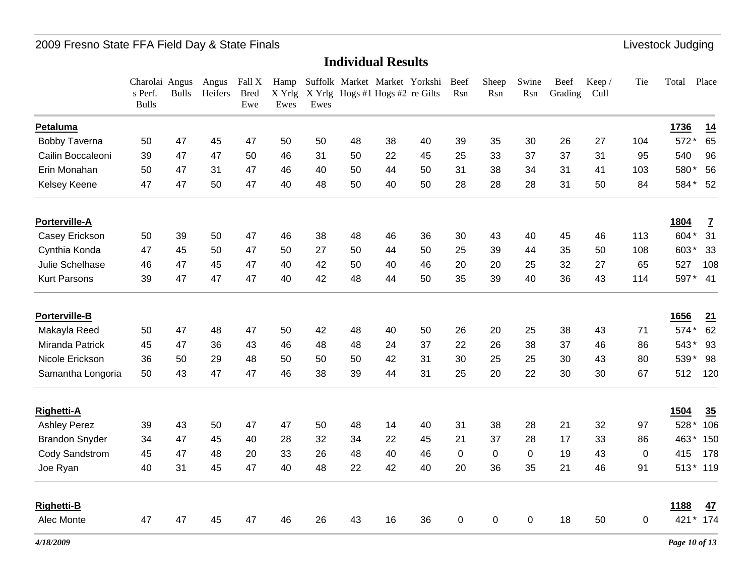|                       | Charolai Angus<br>s Perf.<br><b>Bulls</b> | <b>Bulls</b> | Angus<br>Heifers | Fall X<br><b>Bred</b><br>Ewe | Hamp<br>X Yrlg<br>Ewes | Ewes |    | X Yrlg Hogs #1 Hogs #2 re Gilts | Suffolk Market Market Yorkshi Beef | Rsn         | Sheep<br>Rsn | Swine<br>Rsn | Beef<br>Grading | Keep/<br>Cull | Tie      | Place<br>Total   |
|-----------------------|-------------------------------------------|--------------|------------------|------------------------------|------------------------|------|----|---------------------------------|------------------------------------|-------------|--------------|--------------|-----------------|---------------|----------|------------------|
| Petaluma              |                                           |              |                  |                              |                        |      |    |                                 |                                    |             |              |              |                 |               |          | 1736<br>14       |
| <b>Bobby Taverna</b>  | 50                                        | 47           | 45               | 47                           | 50                     | 50   | 48 | 38                              | 40                                 | 39          | 35           | 30           | 26              | 27            | 104      | 65<br>572*       |
| Cailin Boccaleoni     | 39                                        | 47           | 47               | 50                           | 46                     | 31   | 50 | 22                              | 45                                 | 25          | 33           | 37           | 37              | 31            | 95       | 96<br>540        |
| Erin Monahan          | 50                                        | 47           | 31               | 47                           | 46                     | 40   | 50 | 44                              | 50                                 | 31          | 38           | 34           | 31              | 41            | 103      | 580*<br>56       |
| Kelsey Keene          | 47                                        | 47           | 50               | 47                           | 40                     | 48   | 50 | 40                              | 50                                 | 28          | 28           | 28           | 31              | 50            | 84       | 584*<br>52       |
| Porterville-A         |                                           |              |                  |                              |                        |      |    |                                 |                                    |             |              |              |                 |               |          | 1804<br><u>7</u> |
| Casey Erickson        | 50                                        | 39           | 50               | 47                           | 46                     | 38   | 48 | 46                              | 36                                 | 30          | 43           | 40           | 45              | 46            | 113      | 604*<br>31       |
| Cynthia Konda         | 47                                        | 45           | 50               | 47                           | 50                     | 27   | 50 | 44                              | 50                                 | 25          | 39           | 44           | 35              | 50            | 108      | 603*<br>33       |
| Julie Schelhase       | 46                                        | 47           | 45               | 47                           | 40                     | 42   | 50 | 40                              | 46                                 | 20          | 20           | 25           | 32              | 27            | 65       | 108<br>527       |
| <b>Kurt Parsons</b>   | 39                                        | 47           | 47               | 47                           | 40                     | 42   | 48 | 44                              | 50                                 | 35          | 39           | 40           | 36              | 43            | 114      | 597*<br>41       |
| Porterville-B         |                                           |              |                  |                              |                        |      |    |                                 |                                    |             |              |              |                 |               |          | 1656<br>21       |
| Makayla Reed          | 50                                        | 47           | 48               | 47                           | 50                     | 42   | 48 | 40                              | 50                                 | 26          | 20           | 25           | 38              | 43            | 71       | 62<br>574*       |
| Miranda Patrick       | 45                                        | 47           | 36               | 43                           | 46                     | 48   | 48 | 24                              | 37                                 | 22          | 26           | 38           | 37              | 46            | 86       | 543*<br>93       |
| Nicole Erickson       | 36                                        | 50           | 29               | 48                           | 50                     | 50   | 50 | 42                              | 31                                 | 30          | 25           | 25           | 30              | 43            | 80       | 539*<br>98       |
| Samantha Longoria     | 50                                        | 43           | 47               | 47                           | 46                     | 38   | 39 | 44                              | 31                                 | 25          | 20           | 22           | 30              | 30            | 67       | 512<br>120       |
| <b>Righetti-A</b>     |                                           |              |                  |                              |                        |      |    |                                 |                                    |             |              |              |                 |               |          | 35<br>1504       |
| <b>Ashley Perez</b>   | 39                                        | 43           | 50               | 47                           | 47                     | 50   | 48 | 14                              | 40                                 | 31          | 38           | 28           | 21              | 32            | 97       | 528*<br>106      |
| <b>Brandon Snyder</b> | 34                                        | 47           | 45               | 40                           | 28                     | 32   | 34 | 22                              | 45                                 | 21          | 37           | 28           | 17              | 33            | 86       | 463*<br>150      |
| Cody Sandstrom        | 45                                        | 47           | 48               | 20                           | 33                     | 26   | 48 | 40                              | 46                                 | $\mathbf 0$ | $\mathbf 0$  | $\mathbf 0$  | 19              | 43            | $\Omega$ | 178<br>415       |
| Joe Ryan              | 40                                        | 31           | 45               | 47                           | 40                     | 48   | 22 | 42                              | 40                                 | 20          | 36           | 35           | 21              | 46            | 91       | $513*$<br>119    |
| <b>Righetti-B</b>     |                                           |              |                  |                              |                        |      |    |                                 |                                    |             |              |              |                 |               |          | 1188<br>47       |
| Alec Monte            | 47                                        | 47           | 45               | 47                           | 46                     | 26   | 43 | 16                              | 36                                 | $\pmb{0}$   | $\pmb{0}$    | $\mathsf 0$  | 18              | 50            | 0        | 174<br>$421*$    |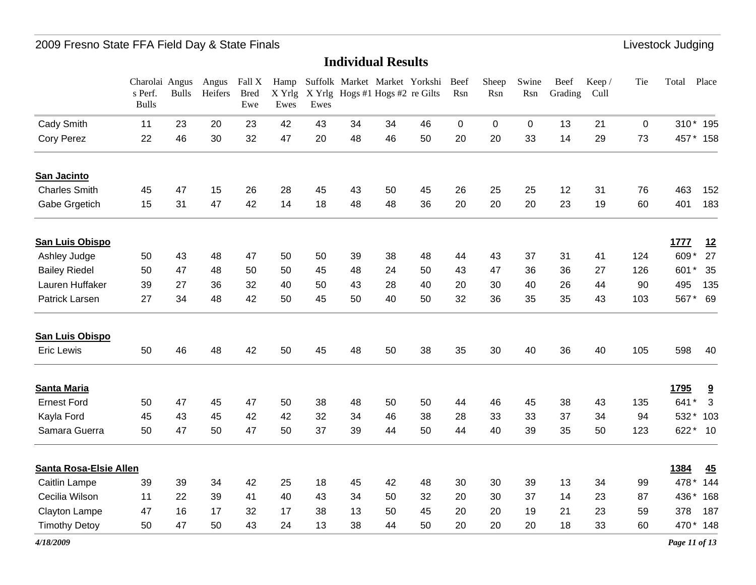|                               | Charolai Angus<br>s Perf.<br><b>Bulls</b> | <b>Bulls</b> | Angus<br>Heifers | Fall X<br><b>Bred</b><br>Ewe | X Yrlg<br>Ewes | Ewes |    | Hamp Suffolk Market Market Yorkshi<br>X Yrlg Hogs #1 Hogs #2 re Gilts |    | Beef<br>Rsn | Sheep<br>Rsn | Swine<br>Rsn | Beef<br>Grading | Keep/<br>Cull | Tie          | Total | Place                   |
|-------------------------------|-------------------------------------------|--------------|------------------|------------------------------|----------------|------|----|-----------------------------------------------------------------------|----|-------------|--------------|--------------|-----------------|---------------|--------------|-------|-------------------------|
| Cady Smith                    | 11                                        | 23           | 20               | 23                           | 42             | 43   | 34 | 34                                                                    | 46 | $\mathbf 0$ | 0            | 0            | 13              | 21            | $\mathbf{0}$ |       | 310* 195                |
| <b>Cory Perez</b>             | 22                                        | 46           | 30               | 32                           | 47             | 20   | 48 | 46                                                                    | 50 | 20          | 20           | 33           | 14              | 29            | 73           |       | 457 * 158               |
| San Jacinto                   |                                           |              |                  |                              |                |      |    |                                                                       |    |             |              |              |                 |               |              |       |                         |
| <b>Charles Smith</b>          | 45                                        | 47           | 15               | 26                           | 28             | 45   | 43 | 50                                                                    | 45 | 26          | 25           | 25           | 12              | 31            | 76           | 463   | 152                     |
| Gabe Grgetich                 | 15                                        | 31           | 47               | 42                           | 14             | 18   | 48 | 48                                                                    | 36 | 20          | 20           | 20           | 23              | 19            | 60           | 401   | 183                     |
| <b>San Luis Obispo</b>        |                                           |              |                  |                              |                |      |    |                                                                       |    |             |              |              |                 |               |              | 1777  | 12                      |
| Ashley Judge                  | 50                                        | 43           | 48               | 47                           | 50             | 50   | 39 | 38                                                                    | 48 | 44          | 43           | 37           | 31              | 41            | 124          | 609*  | 27                      |
| <b>Bailey Riedel</b>          | 50                                        | 47           | 48               | 50                           | 50             | 45   | 48 | 24                                                                    | 50 | 43          | 47           | 36           | 36              | 27            | 126          | 601*  | 35                      |
| Lauren Huffaker               | 39                                        | 27           | 36               | 32                           | 40             | 50   | 43 | 28                                                                    | 40 | 20          | 30           | 40           | 26              | 44            | 90           | 495   | 135                     |
| <b>Patrick Larsen</b>         | 27                                        | 34           | 48               | 42                           | 50             | 45   | 50 | 40                                                                    | 50 | 32          | 36           | 35           | 35              | 43            | 103          | 567*  | 69                      |
| <b>San Luis Obispo</b>        |                                           |              |                  |                              |                |      |    |                                                                       |    |             |              |              |                 |               |              |       |                         |
| <b>Eric Lewis</b>             | 50                                        | 46           | 48               | 42                           | 50             | 45   | 48 | 50                                                                    | 38 | 35          | 30           | 40           | 36              | 40            | 105          | 598   | 40                      |
| <b>Santa Maria</b>            |                                           |              |                  |                              |                |      |    |                                                                       |    |             |              |              |                 |               |              | 1795  | $\overline{\mathbf{a}}$ |
| <b>Ernest Ford</b>            | 50                                        | 47           | 45               | 47                           | 50             | 38   | 48 | 50                                                                    | 50 | 44          | 46           | 45           | 38              | 43            | 135          | 641*  | 3                       |
| Kayla Ford                    | 45                                        | 43           | 45               | 42                           | 42             | 32   | 34 | 46                                                                    | 38 | 28          | 33           | 33           | 37              | 34            | 94           | 532*  | 103                     |
| Samara Guerra                 | 50                                        | 47           | 50               | 47                           | 50             | 37   | 39 | 44                                                                    | 50 | 44          | 40           | 39           | 35              | 50            | 123          | 622*  | 10                      |
| <b>Santa Rosa-Elsie Allen</b> |                                           |              |                  |                              |                |      |    |                                                                       |    |             |              |              |                 |               |              | 1384  | 45                      |
| Caitlin Lampe                 | 39                                        | 39           | 34               | 42                           | 25             | 18   | 45 | 42                                                                    | 48 | 30          | 30           | 39           | 13              | 34            | 99           | 478 * | 144                     |
| Cecilia Wilson                | 11                                        | 22           | 39               | 41                           | 40             | 43   | 34 | 50                                                                    | 32 | 20          | 30           | 37           | 14              | 23            | 87           | 436*  | 168                     |
| Clayton Lampe                 | 47                                        | 16           | 17               | 32                           | 17             | 38   | 13 | 50                                                                    | 45 | 20          | 20           | 19           | 21              | 23            | 59           | 378   | 187                     |
| <b>Timothy Detoy</b>          | 50                                        | 47           | 50               | 43                           | 24             | 13   | 38 | 44                                                                    | 50 | 20          | 20           | 20           | 18              | 33            | 60           |       | 470* 148                |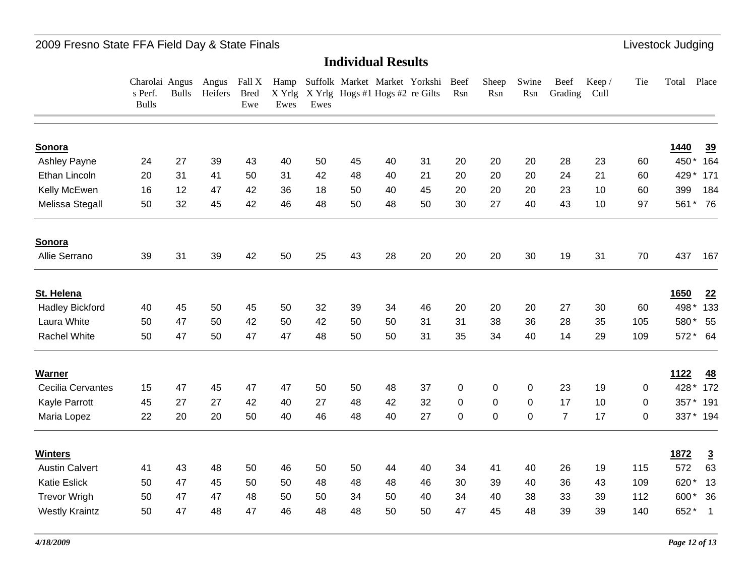|                          | Charolai Angus<br>s Perf.<br><b>Bulls</b> | <b>Bulls</b> | Angus<br>Heifers | Fall X<br><b>Bred</b><br>Ewe | Ewes | Ewes |    | X Yrlg X Yrlg Hogs #1 Hogs #2 re Gilts | Hamp Suffolk Market Market Yorkshi Beef | Rsn         | Sheep<br>Rsn | Swine<br>Rsn | <b>Beef</b><br>Grading | Keep/<br>Cull | Tie      | Total       | Place          |
|--------------------------|-------------------------------------------|--------------|------------------|------------------------------|------|------|----|----------------------------------------|-----------------------------------------|-------------|--------------|--------------|------------------------|---------------|----------|-------------|----------------|
| Sonora                   |                                           |              |                  |                              |      |      |    |                                        |                                         |             |              |              |                        |               |          | 1440        | $\frac{39}{2}$ |
| Ashley Payne             | 24                                        | 27           | 39               | 43                           | 40   | 50   | 45 | 40                                     | 31                                      | 20          | 20           | 20           | 28                     | 23            | 60       | 450*        | 164            |
| Ethan Lincoln            | 20                                        | 31           | 41               | 50                           | 31   | 42   | 48 | 40                                     | 21                                      | 20          | 20           | 20           | 24                     | 21            | 60       | 429*        | 171            |
| Kelly McEwen             | 16                                        | 12           | 47               | 42                           | 36   | 18   | 50 | 40                                     | 45                                      | 20          | 20           | 20           | 23                     | 10            | 60       | 399         | 184            |
| Melissa Stegall          | 50                                        | 32           | 45               | 42                           | 46   | 48   | 50 | 48                                     | 50                                      | 30          | 27           | 40           | 43                     | 10            | 97       | 561*        | 76             |
| Sonora                   |                                           |              |                  |                              |      |      |    |                                        |                                         |             |              |              |                        |               |          |             |                |
| Allie Serrano            | 39                                        | 31           | 39               | 42                           | 50   | 25   | 43 | 28                                     | 20                                      | 20          | 20           | 30           | 19                     | 31            | 70       | 437         | 167            |
| St. Helena               |                                           |              |                  |                              |      |      |    |                                        |                                         |             |              |              |                        |               |          | 1650        | 22             |
| <b>Hadley Bickford</b>   | 40                                        | 45           | 50               | 45                           | 50   | 32   | 39 | 34                                     | 46                                      | 20          | 20           | 20           | 27                     | 30            | 60       | 498*        | 133            |
| Laura White              | 50                                        | 47           | 50               | 42                           | 50   | 42   | 50 | 50                                     | 31                                      | 31          | 38           | 36           | 28                     | 35            | 105      | 580*        | 55             |
| <b>Rachel White</b>      | 50                                        | 47           | 50               | 47                           | 47   | 48   | 50 | 50                                     | 31                                      | 35          | 34           | 40           | 14                     | 29            | 109      |             | 572* 64        |
| <b>Warner</b>            |                                           |              |                  |                              |      |      |    |                                        |                                         |             |              |              |                        |               |          | <u>1122</u> | 48             |
| <b>Cecilia Cervantes</b> | 15                                        | 47           | 45               | 47                           | 47   | 50   | 50 | 48                                     | 37                                      | $\mathbf 0$ | $\mathbf 0$  | $\mathsf 0$  | 23                     | 19            | 0        | 428*        | 172            |
| Kayle Parrott            | 45                                        | 27           | 27               | 42                           | 40   | 27   | 48 | 42                                     | 32                                      | 0           | $\pmb{0}$    | $\mathbf 0$  | 17                     | 10            | 0        | 357*        | 191            |
| Maria Lopez              | 22                                        | 20           | 20               | 50                           | 40   | 46   | 48 | 40                                     | 27                                      | 0           | $\mathbf 0$  | $\mathbf 0$  | $\overline{7}$         | 17            | $\Omega$ | 337*        | 194            |
| <b>Winters</b>           |                                           |              |                  |                              |      |      |    |                                        |                                         |             |              |              |                        |               |          | 1872        | $\overline{3}$ |
| <b>Austin Calvert</b>    | 41                                        | 43           | 48               | 50                           | 46   | 50   | 50 | 44                                     | 40                                      | 34          | 41           | 40           | 26                     | 19            | 115      | 572         | 63             |
| <b>Katie Eslick</b>      | 50                                        | 47           | 45               | 50                           | 50   | 48   | 48 | 48                                     | 46                                      | 30          | 39           | 40           | 36                     | 43            | 109      | 620*        | 13             |
| <b>Trevor Wrigh</b>      | 50                                        | 47           | 47               | 48                           | 50   | 50   | 34 | 50                                     | 40                                      | 34          | 40           | 38           | 33                     | 39            | 112      | 600*        | 36             |
| <b>Westly Kraintz</b>    | 50                                        | 47           | 48               | 47                           | 46   | 48   | 48 | 50                                     | 50                                      | 47          | 45           | 48           | 39                     | 39            | 140      | 652*        | $\mathbf{1}$   |